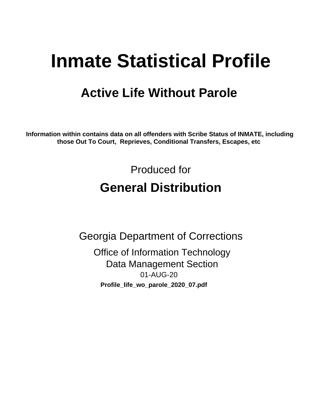# **Inmate Statistical Profile**

# **Active Life Without Parole**

Information within contains data on all offenders with Scribe Status of INMATE, including those Out To Court, Reprieves, Conditional Transfers, Escapes, etc

> Produced for **General Distribution**

**Georgia Department of Corrections Office of Information Technology Data Management Section** 01-AUG-20 Profile\_life\_wo\_parole\_2020\_07.pdf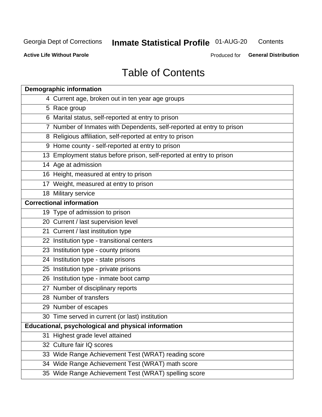## **Inmate Statistical Profile 01-AUG-20**

Contents

**Active Life Without Parole** 

Produced for General Distribution

# **Table of Contents**

|    | <b>Demographic information</b>                                        |
|----|-----------------------------------------------------------------------|
|    | 4 Current age, broken out in ten year age groups                      |
|    | 5 Race group                                                          |
|    | 6 Marital status, self-reported at entry to prison                    |
|    | 7 Number of Inmates with Dependents, self-reported at entry to prison |
|    | 8 Religious affiliation, self-reported at entry to prison             |
|    | 9 Home county - self-reported at entry to prison                      |
|    | 13 Employment status before prison, self-reported at entry to prison  |
|    | 14 Age at admission                                                   |
|    | 16 Height, measured at entry to prison                                |
|    | 17 Weight, measured at entry to prison                                |
|    | 18 Military service                                                   |
|    | <b>Correctional information</b>                                       |
|    | 19 Type of admission to prison                                        |
|    | 20 Current / last supervision level                                   |
|    | 21 Current / last institution type                                    |
|    | 22 Institution type - transitional centers                            |
|    | 23 Institution type - county prisons                                  |
|    | 24 Institution type - state prisons                                   |
|    | 25 Institution type - private prisons                                 |
|    | 26 Institution type - inmate boot camp                                |
|    | 27 Number of disciplinary reports                                     |
|    | 28 Number of transfers                                                |
|    | 29 Number of escapes                                                  |
|    | 30 Time served in current (or last) institution                       |
|    | Educational, psychological and physical information                   |
| 31 | Highest grade level attained                                          |
|    | 32 Culture fair IQ scores                                             |
|    | 33 Wide Range Achievement Test (WRAT) reading score                   |
|    | 34 Wide Range Achievement Test (WRAT) math score                      |
|    | 35 Wide Range Achievement Test (WRAT) spelling score                  |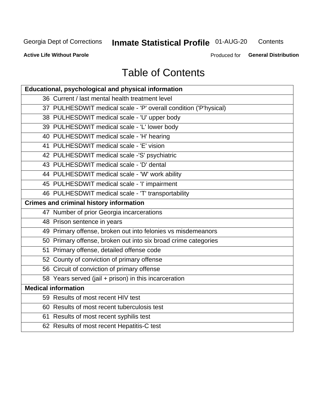## **Inmate Statistical Profile 01-AUG-20**

Contents

**Active Life Without Parole** 

Produced for General Distribution

# **Table of Contents**

| <b>Educational, psychological and physical information</b>       |
|------------------------------------------------------------------|
| 36 Current / last mental health treatment level                  |
| 37 PULHESDWIT medical scale - 'P' overall condition ('P'hysical) |
| 38 PULHESDWIT medical scale - 'U' upper body                     |
| 39 PULHESDWIT medical scale - 'L' lower body                     |
| 40 PULHESDWIT medical scale - 'H' hearing                        |
| 41 PULHESDWIT medical scale - 'E' vision                         |
| 42 PULHESDWIT medical scale -'S' psychiatric                     |
| 43 PULHESDWIT medical scale - 'D' dental                         |
| 44 PULHESDWIT medical scale - 'W' work ability                   |
| 45 PULHESDWIT medical scale - 'I' impairment                     |
| 46 PULHESDWIT medical scale - 'T' transportability               |
| <b>Crimes and criminal history information</b>                   |
| 47 Number of prior Georgia incarcerations                        |
| 48 Prison sentence in years                                      |
| 49 Primary offense, broken out into felonies vs misdemeanors     |
| 50 Primary offense, broken out into six broad crime categories   |
| 51 Primary offense, detailed offense code                        |
| 52 County of conviction of primary offense                       |
| 56 Circuit of conviction of primary offense                      |
| 58 Years served (jail + prison) in this incarceration            |
| <b>Medical information</b>                                       |
| 59 Results of most recent HIV test                               |
| 60 Results of most recent tuberculosis test                      |
| 61 Results of most recent syphilis test                          |
| 62 Results of most recent Hepatitis-C test                       |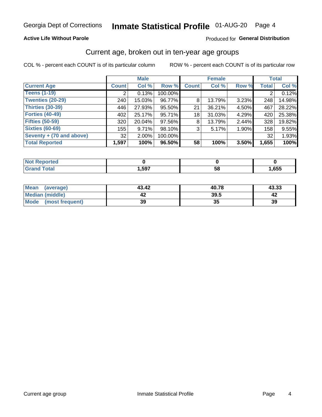### **Active Life Without Parole**

### Produced for General Distribution

## Current age, broken out in ten-year age groups

COL % - percent each COUNT is of its particular column

|                          | <b>Male</b>  |          |         | <b>Female</b> |        |       | <b>Total</b> |        |
|--------------------------|--------------|----------|---------|---------------|--------|-------|--------------|--------|
| <b>Current Age</b>       | <b>Count</b> | Col %    | Row %   | <b>Count</b>  | Col %  | Row % | <b>Total</b> | Col %  |
| <b>Teens (1-19)</b>      |              | 0.13%    | 100.00% |               |        |       |              | 0.12%  |
| <b>Twenties (20-29)</b>  | 240          | 15.03%   | 96.77%  | 8             | 13.79% | 3.23% | 248          | 14.98% |
| Thirties (30-39)         | 446          | 27.93%   | 95.50%  | 21            | 36.21% | 4.50% | 467          | 28.22% |
| <b>Forties (40-49)</b>   | 402          | 25.17%   | 95.71%  | 18            | 31.03% | 4.29% | 420          | 25.38% |
| <b>Fifties (50-59)</b>   | 320          | 20.04%   | 97.56%  | 8             | 13.79% | 2.44% | 328          | 19.82% |
| <b>Sixties (60-69)</b>   | 155          | 9.71%    | 98.10%  | 3             | 5.17%  | 1.90% | 158          | 9.55%  |
| Seventy + (70 and above) | 32           | $2.00\%$ | 100.00% |               |        |       | 32           | 1.93%  |
| <b>Total Reported</b>    | 1,597        | 100%     | 96.50%  | 58            | 100%   | 3.50% | 1,655        | 100%   |

| วrted<br>. <b>.</b> |      |    |      |
|---------------------|------|----|------|
| <b>Total</b>        | ,597 | 58 | ,655 |

| <b>Mean</b><br>(average) | 43.42 | 40.78 | 43.33 |
|--------------------------|-------|-------|-------|
| Median (middle)          |       | 39.5  |       |
| Mode (most frequent)     | 39    | JJ    | 39    |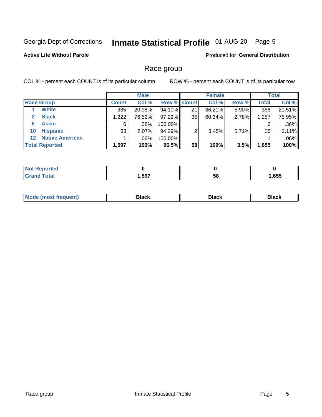## Inmate Statistical Profile 01-AUG-20 Page 5

### **Active Life Without Parole**

**Produced for General Distribution** 

## Race group

COL % - percent each COUNT is of its particular column

|                                   |              | <b>Male</b> |           |                    | <b>Female</b> |          |              | <b>Total</b> |  |
|-----------------------------------|--------------|-------------|-----------|--------------------|---------------|----------|--------------|--------------|--|
| <b>Race Group</b>                 | <b>Count</b> | Col %       |           | <b>Row % Count</b> | Col %         | Row %    | <b>Total</b> | Col %        |  |
| <b>White</b>                      | 335          | 20.98%      | 94.10%    | 21                 | 36.21%        | 5.90%    | 356          | 21.51%       |  |
| <b>Black</b><br>$\mathbf{2}$      | 1,222        | 76.52%      | $97.22\%$ | 35                 | 60.34%        | 2.78%    | 1,257        | 75.95%       |  |
| <b>Asian</b><br>6                 | 6            | .38%        | 100.00%   |                    |               |          | 6            | .36%         |  |
| <b>Hispanic</b><br>10             | 33           | 2.07%       | 94.29%    | ົ                  | 3.45%         | $5.71\%$ | 35           | 2.11%        |  |
| <b>Native American</b><br>$12 \,$ |              | .06%        | 100.00%   |                    |               |          |              | $.06\%$      |  |
| <b>Total Reported</b>             | 1,597        | 100%        | 96.5%     | 58                 | 100%          | 3.5%     | 1,655        | 100%         |  |

| neo  |      |    |      |
|------|------|----|------|
| أحقص | .597 | 58 | ,655 |

| маст |  | M |  |  |  |
|------|--|---|--|--|--|
|------|--|---|--|--|--|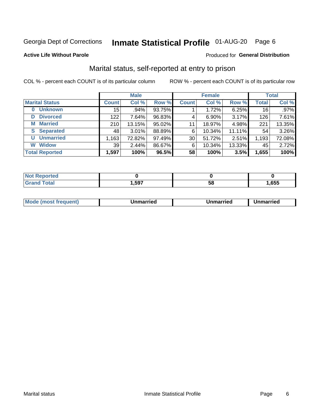## Inmate Statistical Profile 01-AUG-20 Page 6

### **Active Life Without Parole**

### Produced for General Distribution

## Marital status, self-reported at entry to prison

COL % - percent each COUNT is of its particular column

|                            | <b>Male</b>  |          |        | <b>Female</b> |          |        | <b>Total</b> |        |
|----------------------------|--------------|----------|--------|---------------|----------|--------|--------------|--------|
| <b>Marital Status</b>      | <b>Count</b> | Col %    | Row %  | <b>Count</b>  | Col %    | Row %  | <b>Total</b> | Col %  |
| <b>Unknown</b><br>$\bf{0}$ | 15           | $.94\%$  | 93.75% |               | 1.72%    | 6.25%  | 16           | .97%   |
| <b>Divorced</b><br>D       | 122          | 7.64%    | 96.83% | 4             | $6.90\%$ | 3.17%  | 126          | 7.61%  |
| <b>Married</b><br>М        | 210          | 13.15%   | 95.02% | 11            | 18.97%   | 4.98%  | 221          | 13.35% |
| <b>Separated</b><br>S.     | 48           | $3.01\%$ | 88.89% | 6             | 10.34%   | 11.11% | 54           | 3.26%  |
| <b>Unmarried</b><br>U      | 1,163        | 72.82%   | 97.49% | 30            | 51.72%   | 2.51%  | 1,193        | 72.08% |
| <b>Widow</b><br>W          | 39           | 2.44%    | 86.67% | 6             | 10.34%   | 13.33% | 45           | 2.72%  |
| <b>Total Reported</b>      | 1,597        | 100%     | 96.5%  | 58            | 100%     | 3.5%   | 1,655        | 100%   |

| <b>TEG</b> |      |    |      |
|------------|------|----|------|
|            | ,597 | ວດ | ,655 |

|  | M | . | Unmarried | າmarried<br>_____ |
|--|---|---|-----------|-------------------|
|--|---|---|-----------|-------------------|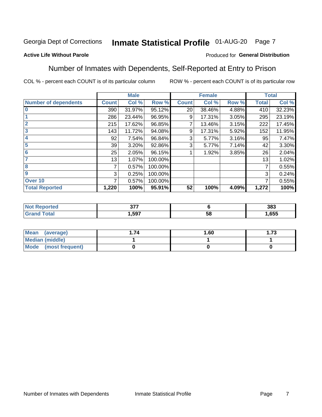#### Inmate Statistical Profile 01-AUG-20 Page 7

### **Active Life Without Parole**

### Produced for General Distribution

## Number of Inmates with Dependents, Self-Reported at Entry to Prison

COL % - percent each COUNT is of its particular column

|                             |                 | <b>Male</b> |         |              | <b>Female</b> |       |              | <b>Total</b> |
|-----------------------------|-----------------|-------------|---------|--------------|---------------|-------|--------------|--------------|
| <b>Number of dependents</b> | <b>Count</b>    | Col %       | Row %   | <b>Count</b> | Col %         | Row % | <b>Total</b> | Col %        |
| $\bf{0}$                    | 390             | 31.97%      | 95.12%  | 20           | 38.46%        | 4.88% | 410          | 32.23%       |
|                             | 286             | 23.44%      | 96.95%  | 9            | 17.31%        | 3.05% | 295          | 23.19%       |
| $\overline{2}$              | 215             | 17.62%      | 96.85%  |              | 13.46%        | 3.15% | 222          | 17.45%       |
| 3                           | 143             | 11.72%      | 94.08%  | 9            | 17.31%        | 5.92% | 152          | 11.95%       |
| 4                           | 92              | 7.54%       | 96.84%  | 3            | 5.77%         | 3.16% | 95           | 7.47%        |
| 5                           | 39 <sub>1</sub> | 3.20%       | 92.86%  | 3            | 5.77%         | 7.14% | 42           | 3.30%        |
| $6\phantom{1}6$             | 25              | 2.05%       | 96.15%  |              | 1.92%         | 3.85% | 26           | 2.04%        |
| 7                           | 13              | 1.07%       | 100.00% |              |               |       | 13           | 1.02%        |
| 8                           | 7               | 0.57%       | 100.00% |              |               |       | 7            | 0.55%        |
| $\boldsymbol{9}$            | 3               | 0.25%       | 100.00% |              |               |       | 3            | 0.24%        |
| Over 10                     | 7               | 0.57%       | 100.00% |              |               |       | 7            | 0.55%        |
| <b>Total Reported</b>       | 1,220           | 100%        | 95.91%  | 52           | 100%          | 4.09% | 1,272        | 100%         |

| $\sim$ $\sim$ $\sim$<br>$\sim$ |           | 383  |
|--------------------------------|-----------|------|
| .597                           | E C<br>ວເ | .655 |

| <b>Mean</b><br>(average) | 1.60 | - 72<br>I. I J |
|--------------------------|------|----------------|
| Median (middle)          |      |                |
| Mode<br>(most frequent)  |      |                |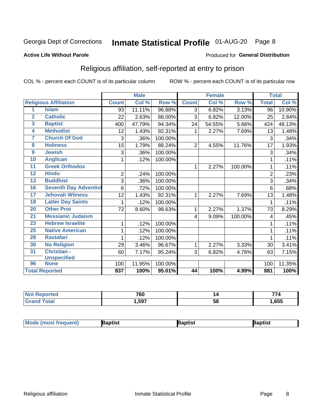## Inmate Statistical Profile 01-AUG-20 Page 8

### **Active Life Without Parole**

### Produced for General Distribution

## Religious affiliation, self-reported at entry to prison

COL % - percent each COUNT is of its particular column

|                 |                              |              | <b>Male</b> |         |                | <b>Female</b> |         |                | <b>Total</b> |
|-----------------|------------------------------|--------------|-------------|---------|----------------|---------------|---------|----------------|--------------|
|                 | <b>Religious Affiliation</b> | <b>Count</b> | Col %       | Row %   | <b>Count</b>   | Col %         | Row %   | <b>Total</b>   | Col %        |
| 1               | <b>Islam</b>                 | 93           | 11.11%      | 96.88%  | 3              | 6.82%         | 3.13%   | 96             | 10.90%       |
| $\overline{2}$  | <b>Catholic</b>              | 22           | 2.63%       | 88.00%  | 3              | 6.82%         | 12.00%  | 25             | 2.84%        |
| $\overline{3}$  | <b>Baptist</b>               | 400          | 47.79%      | 94.34%  | 24             | 54.55%        | 5.66%   | 424            | 48.13%       |
| 4               | <b>Methodist</b>             | 12           | 1.43%       | 92.31%  | 1              | 2.27%         | 7.69%   | 13             | 1.48%        |
| 7               | <b>Church Of God</b>         | 3            | .36%        | 100.00% |                |               |         | 3              | .34%         |
| 8               | <b>Holiness</b>              | 15           | 1.79%       | 88.24%  | $\overline{2}$ | 4.55%         | 11.76%  | 17             | 1.93%        |
| $\overline{9}$  | <b>Jewish</b>                | 3            | .36%        | 100.00% |                |               |         | 3              | .34%         |
| 10              | <b>Anglican</b>              | 1            | .12%        | 100.00% |                |               |         |                | .11%         |
| 11              | <b>Greek Orthodox</b>        |              |             |         | 1              | 2.27%         | 100.00% | 1              | .11%         |
| 12              | <b>Hindu</b>                 | $\mathbf 2$  | .24%        | 100.00% |                |               |         | $\overline{2}$ | .23%         |
| 13              | <b>Buddhist</b>              | 3            | .36%        | 100.00% |                |               |         | 3              | .34%         |
| 16              | <b>Seventh Day Adventist</b> | 6            | .72%        | 100.00% |                |               |         | 6              | .68%         |
| 17 <sub>2</sub> | <b>Jehovah Witness</b>       | 12           | 1.43%       | 92.31%  | 1              | 2.27%         | 7.69%   | 13             | 1.48%        |
| 18              | <b>Latter Day Saints</b>     | 1            | .12%        | 100.00% |                |               |         |                | .11%         |
| 20              | <b>Other Prot</b>            | 72           | 8.60%       | 98.63%  | 1              | 2.27%         | 1.37%   | 73             | 8.29%        |
| $\overline{21}$ | <b>Messianic Judaism</b>     |              |             |         | 4              | 9.09%         | 100.00% | 4              | .45%         |
| 23              | <b>Hebrew Israelite</b>      | 1            | .12%        | 100.00% |                |               |         |                | .11%         |
| 25              | <b>Native American</b>       | 1            | .12%        | 100.00% |                |               |         |                | .11%         |
| 28              | <b>Rastafari</b>             | 1            | .12%        | 100.00% |                |               |         |                | .11%         |
| 30              | <b>No Religion</b>           | 29           | 3.46%       | 96.67%  | 1              | 2.27%         | 3.33%   | 30             | 3.41%        |
| 31              | Christian -                  | 60           | 7.17%       | 95.24%  | 3              | 6.82%         | 4.76%   | 63             | 7.15%        |
|                 | <b>Unspecified</b>           |              |             |         |                |               |         |                |              |
| 96              | <b>None</b>                  | 100          | 11.95%      | 100.00% |                |               |         | 100            | 11.35%       |
|                 | <b>Total Reported</b>        | 837          | 100%        | 95.01%  | 44             | 100%          | 4.99%   | 881            | 100%         |

| н | 760        | ۱., | --   |
|---|------------|-----|------|
|   | 597<br>,JJ | u   | ,655 |

| Mode (most frequ<br>aptist<br>Nuent) | ˈaɒtist | ʿaptis |
|--------------------------------------|---------|--------|
|--------------------------------------|---------|--------|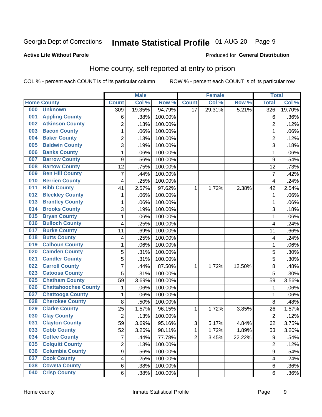## Inmate Statistical Profile 01-AUG-20 Page 9

### **Active Life Without Parole**

### Produced for General Distribution

## Home county, self-reported at entry to prison

COL % - percent each COUNT is of its particular column

|     |                             |                | <b>Male</b> |         |                | <b>Female</b> |        | <b>Total</b>     |        |
|-----|-----------------------------|----------------|-------------|---------|----------------|---------------|--------|------------------|--------|
|     | <b>Home County</b>          | <b>Count</b>   | Col %       | Row %   | <b>Count</b>   | Col %         | Row %  | <b>Total</b>     | Col %  |
| 000 | <b>Unknown</b>              | 309            | 19.35%      | 94.79%  | 17             | 29.31%        | 5.21%  | 326              | 19.70% |
| 001 | <b>Appling County</b>       | 6              | .38%        | 100.00% |                |               |        | 6                | .36%   |
| 002 | <b>Atkinson County</b>      | $\overline{2}$ | .13%        | 100.00% |                |               |        | $\overline{2}$   | .12%   |
| 003 | <b>Bacon County</b>         | $\mathbf 1$    | .06%        | 100.00% |                |               |        | 1                | .06%   |
| 004 | <b>Baker County</b>         | $\overline{2}$ | .13%        | 100.00% |                |               |        | $\overline{2}$   | .12%   |
| 005 | <b>Baldwin County</b>       | 3              | .19%        | 100.00% |                |               |        | 3                | .18%   |
| 006 | <b>Banks County</b>         | $\mathbf 1$    | .06%        | 100.00% |                |               |        | 1                | .06%   |
| 007 | <b>Barrow County</b>        | 9              | .56%        | 100.00% |                |               |        | 9                | .54%   |
| 008 | <b>Bartow County</b>        | 12             | .75%        | 100.00% |                |               |        | 12               | .73%   |
| 009 | <b>Ben Hill County</b>      | $\overline{7}$ | .44%        | 100.00% |                |               |        | $\overline{7}$   | .42%   |
| 010 | <b>Berrien County</b>       | 4              | .25%        | 100.00% |                |               |        | 4                | .24%   |
| 011 | <b>Bibb County</b>          | 41             | 2.57%       | 97.62%  | 1              | 1.72%         | 2.38%  | 42               | 2.54%  |
| 012 | <b>Bleckley County</b>      | 1              | .06%        | 100.00% |                |               |        | 1                | .06%   |
| 013 | <b>Brantley County</b>      | $\mathbf 1$    | .06%        | 100.00% |                |               |        | 1                | .06%   |
| 014 | <b>Brooks County</b>        | 3              | .19%        | 100.00% |                |               |        | 3                | .18%   |
| 015 | <b>Bryan County</b>         | 1              | .06%        | 100.00% |                |               |        | 1                | .06%   |
| 016 | <b>Bulloch County</b>       | 4              | .25%        | 100.00% |                |               |        | 4                | .24%   |
| 017 | <b>Burke County</b>         | 11             | .69%        | 100.00% |                |               |        | 11               | .66%   |
| 018 | <b>Butts County</b>         | 4              | .25%        | 100.00% |                |               |        | 4                | .24%   |
| 019 | <b>Calhoun County</b>       | $\mathbf 1$    | .06%        | 100.00% |                |               |        | 1                | .06%   |
| 020 | <b>Camden County</b>        | 5              | .31%        | 100.00% |                |               |        | 5                | .30%   |
| 021 | <b>Candler County</b>       | 5              | .31%        | 100.00% |                |               |        | 5                | .30%   |
| 022 | <b>Carroll County</b>       | $\overline{7}$ | .44%        | 87.50%  | 1              | 1.72%         | 12.50% | 8                | .48%   |
| 023 | <b>Catoosa County</b>       | 5              | .31%        | 100.00% |                |               |        | 5                | .30%   |
| 025 | <b>Chatham County</b>       | 59             | 3.69%       | 100.00% |                |               |        | 59               | 3.56%  |
| 026 | <b>Chattahoochee County</b> | 1              | .06%        | 100.00% |                |               |        | 1                | .06%   |
| 027 | <b>Chattooga County</b>     | $\mathbf 1$    | .06%        | 100.00% |                |               |        | 1                | .06%   |
| 028 | <b>Cherokee County</b>      | 8              | .50%        | 100.00% |                |               |        | 8                | .48%   |
| 029 | <b>Clarke County</b>        | 25             | 1.57%       | 96.15%  | 1              | 1.72%         | 3.85%  | 26               | 1.57%  |
| 030 | <b>Clay County</b>          | $\overline{2}$ | .13%        | 100.00% |                |               |        | $\overline{2}$   | .12%   |
| 031 | <b>Clayton County</b>       | 59             | 3.69%       | 95.16%  | 3              | 5.17%         | 4.84%  | 62               | 3.75%  |
| 033 | <b>Cobb County</b>          | 52             | 3.26%       | 98.11%  | 1              | 1.72%         | 1.89%  | 53               | 3.20%  |
| 034 | <b>Coffee County</b>        | $\overline{7}$ | .44%        | 77.78%  | $\overline{2}$ | 3.45%         | 22.22% | $\boldsymbol{9}$ | .54%   |
| 035 | <b>Colquitt County</b>      | $\overline{2}$ | .13%        | 100.00% |                |               |        | $\overline{2}$   | .12%   |
| 036 | <b>Columbia County</b>      | $\overline{9}$ | .56%        | 100.00% |                |               |        | 9                | .54%   |
| 037 | <b>Cook County</b>          | 4              | .25%        | 100.00% |                |               |        | 4                | .24%   |
| 038 | <b>Coweta County</b>        | 6              | .38%        | 100.00% |                |               |        | 6                | .36%   |
| 040 | <b>Crisp County</b>         | 6              | .38%        | 100.00% |                |               |        | 6                | .36%   |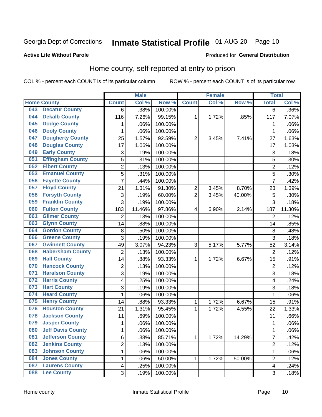## Inmate Statistical Profile 01-AUG-20 Page 10

### **Active Life Without Parole**

### Produced for General Distribution

## Home county, self-reported at entry to prison

COL % - percent each COUNT is of its particular column

|     |                          |                         | <b>Male</b> |                  |                | <b>Female</b> |        | <b>Total</b>            |        |
|-----|--------------------------|-------------------------|-------------|------------------|----------------|---------------|--------|-------------------------|--------|
|     | <b>Home County</b>       | <b>Count</b>            | Col %       | Row <sup>%</sup> | <b>Count</b>   | Col %         | Row %  | <b>Total</b>            | Col%   |
| 043 | <b>Decatur County</b>    | 6                       | .38%        | 100.00%          |                |               |        | $\overline{6}$          | .36%   |
| 044 | <b>Dekalb County</b>     | 116                     | 7.26%       | 99.15%           | 1              | 1.72%         | .85%   | 117                     | 7.07%  |
| 045 | <b>Dodge County</b>      | 1                       | .06%        | 100.00%          |                |               |        | 1                       | .06%   |
| 046 | <b>Dooly County</b>      | 1                       | .06%        | 100.00%          |                |               |        | 1                       | .06%   |
| 047 | <b>Dougherty County</b>  | 25                      | 1.57%       | 92.59%           | $\overline{2}$ | 3.45%         | 7.41%  | 27                      | 1.63%  |
| 048 | <b>Douglas County</b>    | 17                      | 1.06%       | 100.00%          |                |               |        | 17                      | 1.03%  |
| 049 | <b>Early County</b>      | 3                       | .19%        | 100.00%          |                |               |        | 3                       | .18%   |
| 051 | <b>Effingham County</b>  | 5                       | .31%        | 100.00%          |                |               |        | 5                       | .30%   |
| 052 | <b>Elbert County</b>     | $\overline{2}$          | .13%        | 100.00%          |                |               |        | $\overline{2}$          | .12%   |
| 053 | <b>Emanuel County</b>    | 5                       | .31%        | 100.00%          |                |               |        | 5                       | .30%   |
| 056 | <b>Fayette County</b>    | $\overline{7}$          | .44%        | 100.00%          |                |               |        | $\overline{7}$          | .42%   |
| 057 | <b>Floyd County</b>      | 21                      | 1.31%       | 91.30%           | $\overline{c}$ | 3.45%         | 8.70%  | 23                      | 1.39%  |
| 058 | <b>Forsyth County</b>    | 3                       | .19%        | 60.00%           | $\overline{2}$ | 3.45%         | 40.00% | 5                       | .30%   |
| 059 | <b>Franklin County</b>   | 3                       | .19%        | 100.00%          |                |               |        | 3                       | .18%   |
| 060 | <b>Fulton County</b>     | 183                     | 11.46%      | 97.86%           | 4              | 6.90%         | 2.14%  | 187                     | 11.30% |
| 061 | <b>Gilmer County</b>     | $\overline{2}$          | .13%        | 100.00%          |                |               |        | $\overline{2}$          | .12%   |
| 063 | <b>Glynn County</b>      | 14                      | .88%        | 100.00%          |                |               |        | 14                      | .85%   |
| 064 | <b>Gordon County</b>     | 8                       | .50%        | 100.00%          |                |               |        | $\,8\,$                 | .48%   |
| 066 | <b>Greene County</b>     | 3                       | .19%        | 100.00%          |                |               |        | 3                       | .18%   |
| 067 | <b>Gwinnett County</b>   | 49                      | 3.07%       | 94.23%           | 3              | 5.17%         | 5.77%  | 52                      | 3.14%  |
| 068 | <b>Habersham County</b>  | $\overline{2}$          | .13%        | 100.00%          |                |               |        | $\overline{2}$          | .12%   |
| 069 | <b>Hall County</b>       | 14                      | .88%        | 93.33%           | 1              | 1.72%         | 6.67%  | 15                      | .91%   |
| 070 | <b>Hancock County</b>    | $\mathbf 2$             | .13%        | 100.00%          |                |               |        | $\overline{2}$          | .12%   |
| 071 | <b>Haralson County</b>   | 3                       | .19%        | 100.00%          |                |               |        | 3                       | .18%   |
| 072 | <b>Harris County</b>     | 4                       | .25%        | 100.00%          |                |               |        | 4                       | .24%   |
| 073 | <b>Hart County</b>       | 3                       | .19%        | 100.00%          |                |               |        | 3                       | .18%   |
| 074 | <b>Heard County</b>      | $\mathbf 1$             | .06%        | 100.00%          |                |               |        | 1                       | .06%   |
| 075 | <b>Henry County</b>      | 14                      | .88%        | 93.33%           | 1              | 1.72%         | 6.67%  | 15                      | .91%   |
| 076 | <b>Houston County</b>    | 21                      | 1.31%       | 95.45%           | 1              | 1.72%         | 4.55%  | 22                      | 1.33%  |
| 078 | <b>Jackson County</b>    | 11                      | .69%        | 100.00%          |                |               |        | 11                      | .66%   |
| 079 | <b>Jasper County</b>     | 1                       | .06%        | 100.00%          |                |               |        | 1                       | .06%   |
| 080 | <b>Jeff Davis County</b> | 1                       | .06%        | 100.00%          |                |               |        | 1                       | .06%   |
| 081 | <b>Jefferson County</b>  | 6                       | .38%        | 85.71%           | $\mathbf{1}$   | 1.72%         | 14.29% | $\overline{7}$          | .42%   |
| 082 | <b>Jenkins County</b>    | $\overline{2}$          | .13%        | 100.00%          |                |               |        | $\overline{2}$          | .12%   |
| 083 | <b>Johnson County</b>    | $\mathbf 1$             | .06%        | 100.00%          |                |               |        | 1                       | .06%   |
| 084 | <b>Jones County</b>      | 1                       | .06%        | 50.00%           | 1              | 1.72%         | 50.00% | $\overline{2}$          | .12%   |
| 087 | <b>Laurens County</b>    | $\overline{\mathbf{4}}$ | .25%        | 100.00%          |                |               |        | $\overline{\mathbf{4}}$ | .24%   |
| 088 | <b>Lee County</b>        | 3                       | .19%        | 100.00%          |                |               |        | 3                       | .18%   |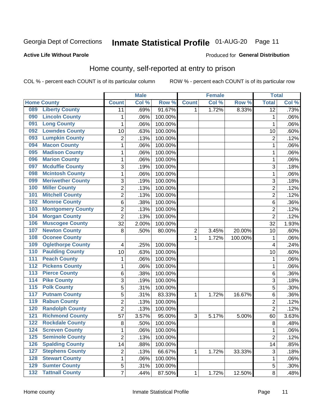#### **Inmate Statistical Profile 01-AUG-20** Page 11

## **Active Life Without Parole**

### Produced for General Distribution

## Home county, self-reported at entry to prison

COL % - percent each COUNT is of its particular column

|                  |                          |                | <b>Male</b> |                  |                | <b>Female</b> |         | <b>Total</b>    |       |
|------------------|--------------------------|----------------|-------------|------------------|----------------|---------------|---------|-----------------|-------|
|                  | <b>Home County</b>       | <b>Count</b>   | Col %       | Row <sup>%</sup> | <b>Count</b>   | Col %         | Row %   | <b>Total</b>    | Col % |
| 089              | <b>Liberty County</b>    | 11             | .69%        | 91.67%           | 1              | 1.72%         | 8.33%   | $\overline{12}$ | .73%  |
| 090              | <b>Lincoln County</b>    | 1              | .06%        | 100.00%          |                |               |         | $\mathbf{1}$    | .06%  |
| 091              | <b>Long County</b>       | 1              | .06%        | 100.00%          |                |               |         | 1               | .06%  |
| 092              | <b>Lowndes County</b>    | 10             | .63%        | 100.00%          |                |               |         | 10              | .60%  |
| 093              | <b>Lumpkin County</b>    | $\overline{2}$ | .13%        | 100.00%          |                |               |         | $\overline{2}$  | .12%  |
| 094              | <b>Macon County</b>      | 1              | .06%        | 100.00%          |                |               |         | 1               | .06%  |
| 095              | <b>Madison County</b>    | 1              | .06%        | 100.00%          |                |               |         | 1               | .06%  |
| 096              | <b>Marion County</b>     | 1              | .06%        | 100.00%          |                |               |         | 1               | .06%  |
| 097              | <b>Mcduffie County</b>   | $\sqrt{3}$     | .19%        | 100.00%          |                |               |         | 3               | .18%  |
| 098              | <b>Mcintosh County</b>   | 1              | .06%        | 100.00%          |                |               |         | 1               | .06%  |
| 099              | <b>Meriwether County</b> | $\overline{3}$ | .19%        | 100.00%          |                |               |         | 3               | .18%  |
| 100              | <b>Miller County</b>     | $\overline{2}$ | .13%        | 100.00%          |                |               |         | $\overline{2}$  | .12%  |
| 101              | <b>Mitchell County</b>   | $\overline{2}$ | .13%        | 100.00%          |                |               |         | $\overline{2}$  | .12%  |
| 102              | <b>Monroe County</b>     | 6              | .38%        | 100.00%          |                |               |         | 6               | .36%  |
| 103              | <b>Montgomery County</b> | $\overline{2}$ | .13%        | 100.00%          |                |               |         | $\overline{2}$  | .12%  |
| 104              | <b>Morgan County</b>     | 2              | .13%        | 100.00%          |                |               |         | $\overline{2}$  | .12%  |
| 106              | <b>Muscogee County</b>   | 32             | 2.00%       | 100.00%          |                |               |         | 32              | 1.93% |
| 107              | <b>Newton County</b>     | 8              | .50%        | 80.00%           | $\overline{c}$ | 3.45%         | 20.00%  | 10              | .60%  |
| 108              | <b>Oconee County</b>     |                |             |                  | 1              | 1.72%         | 100.00% | 1               | .06%  |
| 109              | <b>Oglethorpe County</b> | 4              | .25%        | 100.00%          |                |               |         | 4               | .24%  |
| 110              | <b>Paulding County</b>   | 10             | .63%        | 100.00%          |                |               |         | 10              | .60%  |
| 111              | <b>Peach County</b>      | 1              | .06%        | 100.00%          |                |               |         | 1               | .06%  |
| 112              | <b>Pickens County</b>    | 1              | .06%        | 100.00%          |                |               |         | 1               | .06%  |
| 113              | <b>Pierce County</b>     | 6              | .38%        | 100.00%          |                |               |         | 6               | .36%  |
| 114              | <b>Pike County</b>       | 3              | .19%        | 100.00%          |                |               |         | 3               | .18%  |
| $\overline{115}$ | <b>Polk County</b>       | 5              | .31%        | 100.00%          |                |               |         | 5               | .30%  |
| 117              | <b>Putnam County</b>     | $\overline{5}$ | .31%        | 83.33%           | 1              | 1.72%         | 16.67%  | 6               | .36%  |
| 119              | <b>Rabun County</b>      | 2              | .13%        | 100.00%          |                |               |         | $\overline{2}$  | .12%  |
| 120              | <b>Randolph County</b>   | $\overline{2}$ | .13%        | 100.00%          |                |               |         | $\overline{2}$  | .12%  |
| $\overline{121}$ | <b>Richmond County</b>   | 57             | 3.57%       | 95.00%           | $\overline{3}$ | 5.17%         | 5.00%   | 60              | 3.63% |
| 122              | <b>Rockdale County</b>   | 8              | .50%        | 100.00%          |                |               |         | 8               | .48%  |
| 124              | <b>Screven County</b>    | 1              | .06%        | 100.00%          |                |               |         | 1               | .06%  |
| 125              | <b>Seminole County</b>   | $\overline{2}$ | .13%        | 100.00%          |                |               |         | $\overline{2}$  | .12%  |
| 126              | <b>Spalding County</b>   | 14             | .88%        | 100.00%          |                |               |         | 14              | .85%  |
| 127              | <b>Stephens County</b>   | $\mathbf 2$    | .13%        | 66.67%           | 1              | 1.72%         | 33.33%  | 3               | .18%  |
| 128              | <b>Stewart County</b>    | 1              | .06%        | 100.00%          |                |               |         | 1               | .06%  |
| 129              | <b>Sumter County</b>     | 5              | .31%        | 100.00%          |                |               |         | 5               | .30%  |
| 132              | <b>Tattnall County</b>   | $\overline{7}$ | .44%        | 87.50%           | $\mathbf 1$    | 1.72%         | 12.50%  | 8               | .48%  |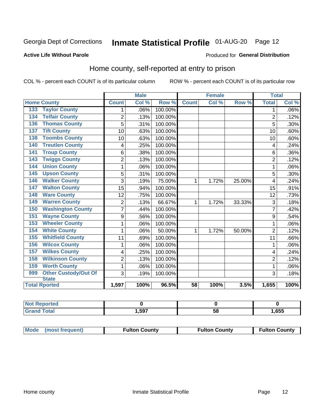## Inmate Statistical Profile 01-AUG-20 Page 12

### **Active Life Without Parole**

### Produced for General Distribution

## Home county, self-reported at entry to prison

COL % - percent each COUNT is of its particular column

|                                 |                | <b>Male</b> |         |                 | <b>Female</b> |        | <b>Total</b>   |         |
|---------------------------------|----------------|-------------|---------|-----------------|---------------|--------|----------------|---------|
| <b>Home County</b>              | <b>Count</b>   | Col %       | Row %   | <b>Count</b>    | Col %         | Row %  | <b>Total</b>   | Col %   |
| <b>Taylor County</b><br>133     | 1              | .06%        | 100.00% |                 |               |        | 1              | $.06\%$ |
| <b>Telfair County</b><br>134    | $\overline{2}$ | .13%        | 100.00% |                 |               |        | $\overline{2}$ | .12%    |
| <b>Thomas County</b><br>136     | 5              | .31%        | 100.00% |                 |               |        | 5              | .30%    |
| <b>Tift County</b><br>137       | 10             | .63%        | 100.00% |                 |               |        | 10             | .60%    |
| <b>Toombs County</b><br>138     | 10             | .63%        | 100.00% |                 |               |        | 10             | .60%    |
| <b>Treutlen County</b><br>140   | 4              | .25%        | 100.00% |                 |               |        | 4              | .24%    |
| <b>Troup County</b><br>141      | 6              | .38%        | 100.00% |                 |               |        | 6              | .36%    |
| <b>Twiggs County</b><br>143     | $\overline{2}$ | .13%        | 100.00% |                 |               |        | $\overline{2}$ | .12%    |
| <b>Union County</b><br>144      | 1              | .06%        | 100.00% |                 |               |        | 1              | .06%    |
| <b>Upson County</b><br>145      | 5              | .31%        | 100.00% |                 |               |        | 5              | .30%    |
| <b>Walker County</b><br>146     | 3              | .19%        | 75.00%  | 1               | 1.72%         | 25.00% | 4              | .24%    |
| <b>Walton County</b><br>147     | 15             | .94%        | 100.00% |                 |               |        | 15             | .91%    |
| <b>Ware County</b><br>148       | 12             | .75%        | 100.00% |                 |               |        | 12             | .73%    |
| <b>Warren County</b><br>149     | 2              | .13%        | 66.67%  | 1               | 1.72%         | 33.33% | 3              | .18%    |
| <b>Washington County</b><br>150 | $\overline{7}$ | .44%        | 100.00% |                 |               |        | 7              | .42%    |
| <b>Wayne County</b><br>151      | 9              | .56%        | 100.00% |                 |               |        | 9              | .54%    |
| <b>Wheeler County</b><br>153    | 1              | .06%        | 100.00% |                 |               |        | 1              | .06%    |
| <b>White County</b><br>154      | 1              | .06%        | 50.00%  | 1               | 1.72%         | 50.00% | $\overline{2}$ | .12%    |
| <b>Whitfield County</b><br>155  | 11             | .69%        | 100.00% |                 |               |        | 11             | .66%    |
| <b>Wilcox County</b><br>156     | 1              | .06%        | 100.00% |                 |               |        | 1              | .06%    |
| <b>Wilkes County</b><br>157     | 4              | .25%        | 100.00% |                 |               |        | 4              | .24%    |
| <b>Wilkinson County</b><br>158  | $\overline{2}$ | .13%        | 100.00% |                 |               |        | $\overline{2}$ | .12%    |
| <b>Worth County</b><br>159      | 1              | .06%        | 100.00% |                 |               |        | 1              | .06%    |
| Other Custody/Out Of<br>999     | 3              | .19%        | 100.00% |                 |               |        | 3              | .18%    |
| <b>State</b>                    |                |             |         |                 |               |        |                |         |
| <b>Total Rported</b>            | 1,597          | 100%        | 96.5%   | $\overline{58}$ | 100%          | 3.5%   | 1,655          | 100%    |

| <b>rted</b> |      |    |      |
|-------------|------|----|------|
| <b>otal</b> | ,597 | vu | ,655 |

| Mode (most frequent) | <b>Fulton County</b> | <b>Fulton County</b> | <b>Fulton County</b> |
|----------------------|----------------------|----------------------|----------------------|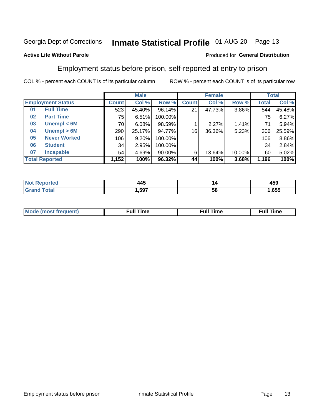## Inmate Statistical Profile 01-AUG-20 Page 13

### **Active Life Without Parole**

### Produced for General Distribution

## Employment status before prison, self-reported at entry to prison

COL % - percent each COUNT is of its particular column

|                           |         | <b>Male</b> |           |              | <b>Female</b> |        |       | <b>Total</b> |
|---------------------------|---------|-------------|-----------|--------------|---------------|--------|-------|--------------|
| <b>Employment Status</b>  | Count l | Col %       | Row %     | <b>Count</b> | Col %         | Row %  | Total | Col %        |
| <b>Full Time</b><br>01    | 523     | 45.40%      | 96.14%    | 21           | 47.73%        | 3.86%  | 544   | 45.48%       |
| <b>Part Time</b><br>02    | 75      | 6.51%       | 100.00%   |              |               |        | 75    | 6.27%        |
| Unempl $< 6M$<br>03       | 70      | 6.08%       | 98.59%    |              | 2.27%         | 1.41%  | 71    | 5.94%        |
| Unempl > 6M<br>04         | 290     | 25.17%      | 94.77%    | 16           | 36.36%        | 5.23%  | 306   | 25.59%       |
| <b>Never Worked</b><br>05 | 106     | 9.20%       | 100.00%   |              |               |        | 106   | 8.86%        |
| <b>Student</b><br>06      | 34      | 2.95%       | 100.00%   |              |               |        | 34    | 2.84%        |
| <b>Incapable</b><br>07    | 54      | 4.69%       | $90.00\%$ | 6            | 13.64%        | 10.00% | 60    | 5.02%        |
| <b>Total Reported</b>     | 1,152   | 100%        | 96.32%    | 44           | 100%          | 3.68%  | 1,196 | 100%         |

| .<br>л Л "<br>__ | "  | $\overline{ }$<br>459 |
|------------------|----|-----------------------|
| .597             | ວເ | .655                  |

| Mc | ∙u∥<br>----<br>ıme | ίuΙ<br>Πmε |
|----|--------------------|------------|
|    |                    |            |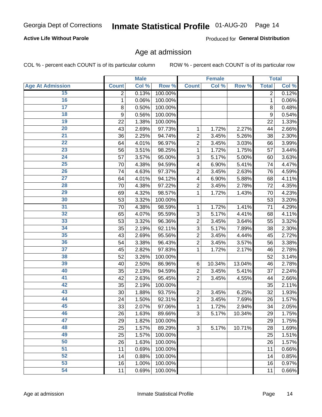### **Active Life Without Parole**

Produced for General Distribution

## Age at admission

COL % - percent each COUNT is of its particular column

|                         |                | <b>Male</b> |         |                         | <b>Female</b> |        |                | <b>Total</b> |
|-------------------------|----------------|-------------|---------|-------------------------|---------------|--------|----------------|--------------|
| <b>Age At Admission</b> | <b>Count</b>   | Col %       | Row %   | <b>Count</b>            | Col %         | Row %  | <b>Total</b>   | Col %        |
| 15                      | $\overline{2}$ | 0.13%       | 100.00% |                         |               |        | $\overline{2}$ | 0.12%        |
| 16                      | 1              | 0.06%       | 100.00% |                         |               |        | $\mathbf{1}$   | 0.06%        |
| $\overline{17}$         | 8              | 0.50%       | 100.00% |                         |               |        | 8              | 0.48%        |
| 18                      | 9              | 0.56%       | 100.00% |                         |               |        | 9              | 0.54%        |
| 19                      | 22             | 1.38%       | 100.00% |                         |               |        | 22             | 1.33%        |
| $\overline{20}$         | 43             | 2.69%       | 97.73%  | 1                       | 1.72%         | 2.27%  | 44             | 2.66%        |
| 21                      | 36             | 2.25%       | 94.74%  | $\overline{2}$          | 3.45%         | 5.26%  | 38             | 2.30%        |
| 22                      | 64             | 4.01%       | 96.97%  | $\overline{c}$          | 3.45%         | 3.03%  | 66             | 3.99%        |
| 23                      | 56             | 3.51%       | 98.25%  | 1                       | 1.72%         | 1.75%  | 57             | 3.44%        |
| 24                      | 57             | 3.57%       | 95.00%  | 3                       | 5.17%         | 5.00%  | 60             | 3.63%        |
| $\overline{25}$         | 70             | 4.38%       | 94.59%  | $\overline{\mathbf{4}}$ | 6.90%         | 5.41%  | 74             | 4.47%        |
| 26                      | 74             | 4.63%       | 97.37%  | $\overline{2}$          | 3.45%         | 2.63%  | 76             | 4.59%        |
| $\overline{27}$         | 64             | 4.01%       | 94.12%  | 4                       | 6.90%         | 5.88%  | 68             | 4.11%        |
| 28                      | 70             | 4.38%       | 97.22%  | $\overline{2}$          | 3.45%         | 2.78%  | 72             | 4.35%        |
| 29                      | 69             | 4.32%       | 98.57%  | 1                       | 1.72%         | 1.43%  | 70             | 4.23%        |
| 30                      | 53             | 3.32%       | 100.00% |                         |               |        | 53             | 3.20%        |
| 31                      | 70             | 4.38%       | 98.59%  | 1                       | 1.72%         | 1.41%  | 71             | 4.29%        |
| 32                      | 65             | 4.07%       | 95.59%  | 3                       | 5.17%         | 4.41%  | 68             | 4.11%        |
| 33                      | 53             | 3.32%       | 96.36%  | $\overline{2}$          | 3.45%         | 3.64%  | 55             | 3.32%        |
| 34                      | 35             | 2.19%       | 92.11%  | 3                       | 5.17%         | 7.89%  | 38             | 2.30%        |
| 35                      | 43             | 2.69%       | 95.56%  | $\overline{2}$          | 3.45%         | 4.44%  | 45             | 2.72%        |
| 36                      | 54             | 3.38%       | 96.43%  | $\overline{c}$          | 3.45%         | 3.57%  | 56             | 3.38%        |
| $\overline{37}$         | 45             | 2.82%       | 97.83%  | 1                       | 1.72%         | 2.17%  | 46             | 2.78%        |
| 38                      | 52             | 3.26%       | 100.00% |                         |               |        | 52             | 3.14%        |
| 39                      | 40             | 2.50%       | 86.96%  | 6                       | 10.34%        | 13.04% | 46             | 2.78%        |
| 40                      | 35             | 2.19%       | 94.59%  | $\overline{c}$          | 3.45%         | 5.41%  | 37             | 2.24%        |
| 41                      | 42             | 2.63%       | 95.45%  | $\overline{2}$          | 3.45%         | 4.55%  | 44             | 2.66%        |
| 42                      | 35             | 2.19%       | 100.00% |                         |               |        | 35             | 2.11%        |
| 43                      | 30             | 1.88%       | 93.75%  | $\overline{2}$          | 3.45%         | 6.25%  | 32             | 1.93%        |
| 44                      | 24             | 1.50%       | 92.31%  | $\overline{c}$          | 3.45%         | 7.69%  | 26             | 1.57%        |
| 45                      | 33             | 2.07%       | 97.06%  | 1                       | 1.72%         | 2.94%  | 34             | 2.05%        |
| 46                      | 26             | 1.63%       | 89.66%  | 3                       | 5.17%         | 10.34% | 29             | 1.75%        |
| 47                      | 29             | 1.82%       | 100.00% |                         |               |        | 29             | 1.75%        |
| 48                      | 25             | 1.57%       | 89.29%  | 3                       | 5.17%         | 10.71% | 28             | 1.69%        |
| 49                      | 25             | 1.57%       | 100.00% |                         |               |        | 25             | 1.51%        |
| 50                      | 26             | 1.63%       | 100.00% |                         |               |        | 26             | 1.57%        |
| $\overline{51}$         | 11             | 0.69%       | 100.00% |                         |               |        | 11             | 0.66%        |
| 52                      | 14             | 0.88%       | 100.00% |                         |               |        | 14             | 0.85%        |
| 53                      | 16             | 1.00%       | 100.00% |                         |               |        | 16             | 0.97%        |
| 54                      | 11             | 0.69%       | 100.00% |                         |               |        | 11             | 0.66%        |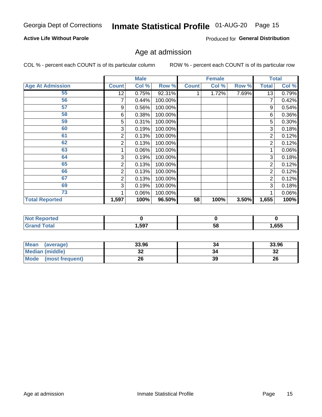### **Active Life Without Parole**

Produced for General Distribution

## Age at admission

COL % - percent each COUNT is of its particular column

|                         |              | <b>Male</b> |         |              | <b>Female</b> |       |                | <b>Total</b> |
|-------------------------|--------------|-------------|---------|--------------|---------------|-------|----------------|--------------|
| <b>Age At Admission</b> | <b>Count</b> | Col %       | Row %   | <b>Count</b> | Col %         | Row % | <b>Total</b>   | Col %        |
| 55                      | 12           | 0.75%       | 92.31%  |              | 1.72%         | 7.69% | 13             | 0.79%        |
| 56                      | 7            | 0.44%       | 100.00% |              |               |       |                | 0.42%        |
| 57                      | 9            | 0.56%       | 100.00% |              |               |       | 9              | 0.54%        |
| 58                      | 6            | 0.38%       | 100.00% |              |               |       | 6              | 0.36%        |
| 59                      | 5            | 0.31%       | 100.00% |              |               |       | 5              | $0.30\%$     |
| 60                      | 3            | 0.19%       | 100.00% |              |               |       | 3              | 0.18%        |
| 61                      | 2            | 0.13%       | 100.00% |              |               |       | 2              | 0.12%        |
| 62                      | 2            | 0.13%       | 100.00% |              |               |       | 2              | 0.12%        |
| 63                      |              | 0.06%       | 100.00% |              |               |       |                | 0.06%        |
| 64                      | 3            | 0.19%       | 100.00% |              |               |       | 3              | 0.18%        |
| 65                      | 2            | 0.13%       | 100.00% |              |               |       | 2              | 0.12%        |
| 66                      | 2            | 0.13%       | 100.00% |              |               |       | $\overline{2}$ | 0.12%        |
| 67                      | 2            | 0.13%       | 100.00% |              |               |       | 2              | 0.12%        |
| 69                      | 3            | 0.19%       | 100.00% |              |               |       | 3              | 0.18%        |
| 73                      |              | 0.06%       | 100.00% |              |               |       |                | 0.06%        |
| <b>Total Reported</b>   | 1,597        | 100%        | 96.50%  | 58           | 100%          | 3.50% | 1,655          | 100%         |

| <b>Reported</b><br><b>NOT</b> |      |    |      |
|-------------------------------|------|----|------|
| <b>otal</b>                   | ,597 | Эč | .655 |

| Mean<br>(average)              | 33.96 | 34 | 33.96   |
|--------------------------------|-------|----|---------|
| <b>Median (middle)</b>         | JZ    |    | …<br>34 |
| <b>Mode</b><br>(most frequent) | 26    | 39 | 26      |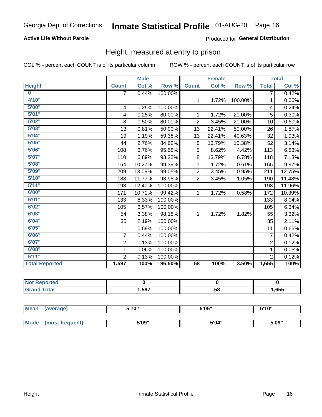### **Active Life Without Parole**

### Produced for General Distribution

## Height, measured at entry to prison

COL % - percent each COUNT is of its particular column

|                         |                | <b>Male</b> |         |                | <b>Female</b> |         |                | <b>Total</b> |
|-------------------------|----------------|-------------|---------|----------------|---------------|---------|----------------|--------------|
| <b>Height</b>           | <b>Count</b>   | Col %       | Row %   | <b>Count</b>   | Col %         | Row %   | <b>Total</b>   | Col %        |
| $\overline{\mathbf{0}}$ | 7              | 0.44%       | 100.00% |                |               |         | 7              | 0.42%        |
| 4'10"                   |                |             |         | $\mathbf{1}$   | 1.72%         | 100.00% | 1              | 0.06%        |
| 5'00''                  | 4              | 0.25%       | 100.00% |                |               |         | 4              | 0.24%        |
| 5'01"                   | 4              | 0.25%       | 80.00%  | 1              | 1.72%         | 20.00%  | 5              | 0.30%        |
| 5'02"                   | 8              | 0.50%       | 80.00%  | $\overline{2}$ | 3.45%         | 20.00%  | 10             | 0.60%        |
| 5'03''                  | 13             | $0.81\%$    | 50.00%  | 13             | 22.41%        | 50.00%  | 26             | 1.57%        |
| 5'04"                   | 19             | 1.19%       | 59.38%  | 13             | 22.41%        | 40.63%  | 32             | 1.93%        |
| 5'05"                   | 44             | 2.76%       | 84.62%  | 8              | 13.79%        | 15.38%  | 52             | 3.14%        |
| 5'06''                  | 108            | 6.76%       | 95.58%  | 5              | 8.62%         | 4.42%   | 113            | 6.83%        |
| 5'07"                   | 110            | 6.89%       | 93.22%  | 8              | 13.79%        | 6.78%   | 118            | 7.13%        |
| 5'08''                  | 164            | 10.27%      | 99.39%  | 1              | 1.72%         | 0.61%   | 165            | 9.97%        |
| 5'09''                  | 209            | 13.09%      | 99.05%  | $\overline{2}$ | 3.45%         | 0.95%   | 211            | 12.75%       |
| 5'10''                  | 188            | 11.77%      | 98.95%  | $\overline{2}$ | 3.45%         | 1.05%   | 190            | 11.48%       |
| 5'11''                  | 198            | 12.40%      | 100.00% |                |               |         | 198            | 11.96%       |
| 6'00''                  | 171            | 10.71%      | 99.42%  | $\mathbf{1}$   | 1.72%         | 0.58%   | 172            | 10.39%       |
| 6'01''                  | 133            | 8.33%       | 100.00% |                |               |         | 133            | 8.04%        |
| 6'02"                   | 105            | 6.57%       | 100.00% |                |               |         | 105            | 6.34%        |
| 6'03''                  | 54             | 3.38%       | 98.18%  | $\mathbf{1}$   | 1.72%         | 1.82%   | 55             | 3.32%        |
| 6'04"                   | 35             | 2.19%       | 100.00% |                |               |         | 35             | 2.11%        |
| 6'05"                   | 11             | 0.69%       | 100.00% |                |               |         | 11             | 0.66%        |
| 6'06''                  | 7              | 0.44%       | 100.00% |                |               |         | 7              | 0.42%        |
| 6'07''                  | $\overline{2}$ | 0.13%       | 100.00% |                |               |         | $\overline{2}$ | 0.12%        |
| 6'08''                  | 1              | 0.06%       | 100.00% |                |               |         | 1              | 0.06%        |
| 6'11''                  | $\overline{2}$ | 0.13%       | 100.00% |                |               |         | $\overline{2}$ | 0.12%        |
| <b>Total Reported</b>   | 1,597          | 100%        | 96.50%  | 58             | 100%          | 3.50%   | 1,655          | 100%         |

| ים מ<br>rtea<br>$\sim$ |      |    |      |
|------------------------|------|----|------|
|                        | ,597 | 58 | ,655 |

| <b>Mean</b> | (average)       | 5'10" | 5'05" | 5'10"<br>ັ |
|-------------|-----------------|-------|-------|------------|
|             |                 |       |       |            |
| <b>Mode</b> | (most frequent) | 5'09" | 5'04" | 5'09"      |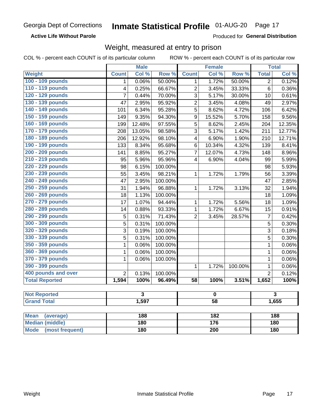**Active Life Without Parole** 

Produced for General Distribution

## Weight, measured at entry to prison

COL % - percent each COUNT is of its particular column

|                                |                         | <b>Male</b>      |         |                         | <b>Female</b>    |         |                         | <b>Total</b> |  |  |
|--------------------------------|-------------------------|------------------|---------|-------------------------|------------------|---------|-------------------------|--------------|--|--|
| <b>Weight</b>                  | <b>Count</b>            | Col %            | Row %   | <b>Count</b>            | Col %            | Row %   | <b>Total</b>            | Col %        |  |  |
| 100 - 109 pounds               | 1                       | 0.06%            | 50.00%  | 1                       | 1.72%            | 50.00%  | $\overline{2}$          | 0.12%        |  |  |
| 110 - 119 pounds               | 4                       | 0.25%            | 66.67%  | $\overline{2}$          | 3.45%            | 33.33%  | $\overline{6}$          | 0.36%        |  |  |
| 120 - 129 pounds               | $\overline{7}$          | 0.44%            | 70.00%  | $\overline{3}$          | 5.17%            | 30.00%  | 10                      | 0.61%        |  |  |
| 130 - 139 pounds               | 47                      | 2.95%            | 95.92%  | $\overline{2}$          | 3.45%            | 4.08%   | 49                      | 2.97%        |  |  |
| 140 - 149 pounds               | 101                     | 6.34%            | 95.28%  | 5                       | 8.62%            | 4.72%   | 106                     | 6.42%        |  |  |
| 150 - 159 pounds               | 149                     | 9.35%            | 94.30%  | 9                       | 15.52%           | 5.70%   | 158                     | 9.56%        |  |  |
| 160 - 169 pounds               | 199                     | 12.48%           | 97.55%  | $\overline{5}$          | 8.62%            | 2.45%   | 204                     | 12.35%       |  |  |
| 170 - 179 pounds               | 208                     | 13.05%           | 98.58%  | 3                       | 5.17%            | 1.42%   | 211                     | 12.77%       |  |  |
| 180 - 189 pounds               | 206                     | 12.92%           | 98.10%  | $\overline{\mathbf{4}}$ | 6.90%            | 1.90%   | 210                     | 12.71%       |  |  |
| 190 - 199 pounds               | 133                     | 8.34%            | 95.68%  | $\,6$                   | 10.34%           | 4.32%   | 139                     | 8.41%        |  |  |
| 200 - 209 pounds               | 141                     | 8.85%            | 95.27%  | $\overline{7}$          | 12.07%           | 4.73%   | 148                     | 8.96%        |  |  |
| 210 - 219 pounds               | 95                      | 5.96%            | 95.96%  | $\overline{\mathbf{4}}$ | 6.90%            | 4.04%   | 99                      | 5.99%        |  |  |
| 220 - 229 pounds               | 98                      | 6.15%            | 100.00% |                         |                  |         | 98                      | 5.93%        |  |  |
| 230 - 239 pounds               | 55                      | 3.45%            | 98.21%  | $\mathbf{1}$            | 1.72%            | 1.79%   | 56                      | 3.39%        |  |  |
| 240 - 249 pounds               | 47                      | 2.95%            | 100.00% |                         |                  |         | 47                      | 2.85%        |  |  |
| 250 - 259 pounds               | 31                      | 1.94%            | 96.88%  | $\mathbf{1}$            | 1.72%            | 3.13%   | 32                      | 1.94%        |  |  |
| 260 - 269 pounds               | 18                      | 1.13%            | 100.00% |                         |                  |         | 18                      | 1.09%        |  |  |
| 270 - 279 pounds               | 17                      | 1.07%            | 94.44%  | $\mathbf{1}$            | 1.72%            | 5.56%   | 18                      | 1.09%        |  |  |
| 280 - 289 pounds               | 14                      | 0.88%            | 93.33%  | $\mathbf{1}$            | 1.72%            | 6.67%   | 15                      | 0.91%        |  |  |
| 290 - 299 pounds               | 5                       | 0.31%            | 71.43%  | $\overline{2}$          | 3.45%            | 28.57%  | $\overline{7}$          | 0.42%        |  |  |
| 300 - 309 pounds               | 5                       | 0.31%            | 100.00% |                         |                  |         | 5                       | 0.30%        |  |  |
| 320 - 329 pounds               | $\overline{3}$          | 0.19%            | 100.00% |                         |                  |         | $\overline{3}$          | 0.18%        |  |  |
| 330 - 339 pounds               | 5                       | 0.31%            | 100.00% |                         |                  |         | $\sqrt{5}$              | 0.30%        |  |  |
| 350 - 359 pounds               | 1                       | 0.06%            | 100.00% |                         |                  |         | $\mathbf 1$             | 0.06%        |  |  |
| 360 - 369 pounds               | 1                       | 0.06%            | 100.00% |                         |                  |         | 1                       | 0.06%        |  |  |
| 370 - 379 pounds               | 1                       | 0.06%            | 100.00% |                         |                  |         | $\mathbf{1}$            | 0.06%        |  |  |
| 390 - 399 pounds               |                         |                  |         | $\mathbf 1$             | 1.72%            | 100.00% | 1                       | 0.06%        |  |  |
| 400 pounds and over            | $\overline{2}$          | 0.13%            | 100.00% |                         |                  |         | $\overline{2}$          | 0.12%        |  |  |
| <b>Total Reported</b>          | 1,594                   | 100%             | 96.49%  | $\overline{58}$         | 100%             | 3.51%   | 1,652                   | 100%         |  |  |
|                                |                         |                  |         |                         |                  |         |                         |              |  |  |
| <b>Not Reported</b>            | $\overline{\mathbf{3}}$ |                  |         | $\overline{\mathbf{0}}$ |                  |         | $\overline{\mathbf{3}}$ |              |  |  |
| <b>Grand Total</b>             |                         | 1,597            |         |                         | $\overline{58}$  |         |                         | 1,655        |  |  |
| <b>Mean</b><br>(average)       |                         | 188              |         |                         | $\overline{182}$ |         | 188                     |              |  |  |
| <b>Median (middle)</b>         |                         | $\overline{180}$ |         |                         | 176              |         |                         | 180          |  |  |
| <b>Mode</b><br>(most frequent) |                         | <b>180</b>       |         |                         | $\overline{200}$ |         |                         | 180          |  |  |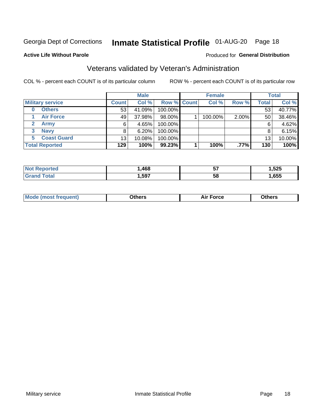## Inmate Statistical Profile 01-AUG-20 Page 18

### **Active Life Without Parole**

### Produced for General Distribution

## Veterans validated by Veteran's Administration

COL % - percent each COUNT is of its particular column

|                             |              | <b>Male</b> |                    | <b>Female</b> |       |              | <b>Total</b> |
|-----------------------------|--------------|-------------|--------------------|---------------|-------|--------------|--------------|
| <b>Military service</b>     | <b>Count</b> | Col %       | <b>Row % Count</b> | Col %         | Row % | <b>Total</b> | Col %        |
| <b>Others</b>               | 53           | 41.09%      | 100.00%            |               |       | 53           | 40.77%       |
| <b>Air Force</b>            | 49           | 37.98%      | 98.00%             | 100.00%       | 2.00% | 50           | 38.46%       |
| $\mathbf{2}$<br><b>Army</b> | 6            | 4.65%       | 100.00%            |               |       | 6            | 4.62%        |
| <b>Navy</b><br>3            | 8            | 6.20%       | 100.00%            |               |       | 8            | 6.15%        |
| <b>Coast Guard</b><br>5.    | 13           | 10.08%      | 100.00%            |               |       | 13           | 10.00%       |
| <b>Total Reported</b>       | 129          | 100%        | 99.23%             | 100%          | .77%  | 130          | 100%         |

|             | .468 | --<br>v, | .525<br>- - |
|-------------|------|----------|-------------|
| $f$ ata $f$ | ,597 | 58       | ,655        |

| <b>Moo.</b> |
|-------------|
|-------------|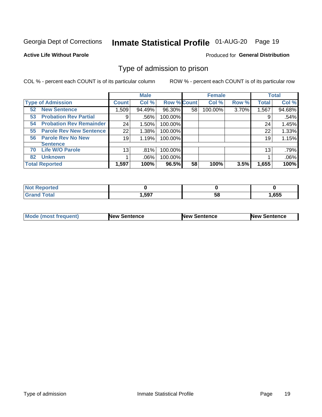## Inmate Statistical Profile 01-AUG-20 Page 19

### **Active Life Without Parole**

### Produced for General Distribution

## Type of admission to prison

COL % - percent each COUNT is of its particular column

|                                      |              | <b>Male</b> |                    |    | <b>Female</b> |       |              | <b>Total</b> |
|--------------------------------------|--------------|-------------|--------------------|----|---------------|-------|--------------|--------------|
| <b>Type of Admission</b>             | <b>Count</b> | Col %       | <b>Row % Count</b> |    | Col %         | Row % | <b>Total</b> | Col %        |
| <b>New Sentence</b><br>52            | 509. 1       | 94.49%      | 96.30%             | 58 | 100.00%       | 3.70% | 1,567        | 94.68%       |
| <b>Probation Rev Partial</b><br>53   | 9            | .56%        | 100.00%            |    |               |       | 9            | .54%         |
| <b>Probation Rev Remainder</b><br>54 | 24           | 1.50%       | 100.00%            |    |               |       | 24           | 1.45%        |
| <b>Parole Rev New Sentence</b><br>55 | 22           | 1.38%       | 100.00%            |    |               |       | 22           | 1.33%        |
| <b>Parole Rev No New</b><br>56       | 19           | 1.19%       | 100.00%            |    |               |       | 19           | 1.15%        |
| <b>Sentence</b>                      |              |             |                    |    |               |       |              |              |
| <b>Life W/O Parole</b><br>70         | 13           | .81%        | 100.00%            |    |               |       | 13           | .79%         |
| <b>Unknown</b><br>82                 |              | .06%        | 100.00%            |    |               |       |              | .06%         |
| <b>Total Reported</b>                | 1,597        | 100%        | 96.5%              | 58 | 100%          | 3.5%  | 1,655        | 100%         |

| <b>Not Reported</b> |       |           |       |
|---------------------|-------|-----------|-------|
| <b>Total</b>        | 1,597 | - 1<br>วง | 1,655 |

| Mode (most frequent) | <b>New Sentence</b> | <b>New Sentence</b> | <b>New Sentence</b> |
|----------------------|---------------------|---------------------|---------------------|
|                      |                     |                     |                     |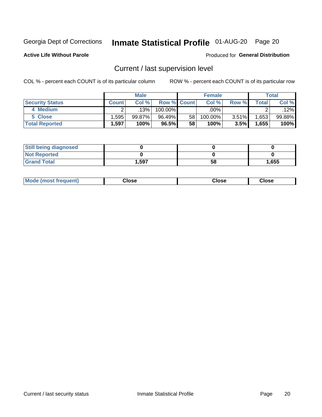## Inmate Statistical Profile 01-AUG-20 Page 20

**Active Life Without Parole** 

### Produced for General Distribution

## Current / last supervision level

COL % - percent each COUNT is of its particular column

|                        |              | <b>Male</b> |                    |    | <b>Female</b> |       |       | Total  |
|------------------------|--------------|-------------|--------------------|----|---------------|-------|-------|--------|
| <b>Security Status</b> | <b>Count</b> | Col%        | <b>Row % Count</b> |    | Col %         | Row % | Total | Col %  |
| 4 Medium               |              | .13%        | 100.00%            |    | .00%          |       |       | .12%   |
| 5 Close                | .595         | $99.87\%$   | 96.49%             | 58 | 100.00%       | 3.51% | .653  | 99.88% |
| <b>Total Reported</b>  | .597         | 100%        | 96.5%              | 58 | 100%          | 3.5%  | 1,655 | 100%   |

| <b>Still being diagnosed</b> |       |    |       |
|------------------------------|-------|----|-------|
| <b>Not Reported</b>          |       |    |       |
| <b>Grand Total</b>           | 1,597 | 58 | 1,655 |

| <b>Mode (most frequent)</b> | Close | ∵lose | Close |
|-----------------------------|-------|-------|-------|
|                             |       |       |       |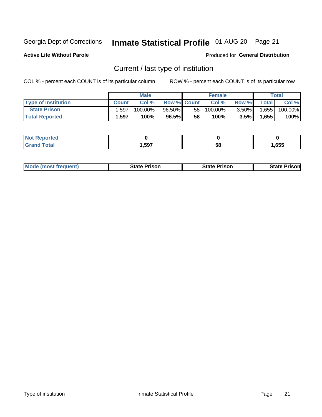## Inmate Statistical Profile 01-AUG-20 Page 21

**Active Life Without Parole** 

Produced for General Distribution

## Current / last type of institution

COL % - percent each COUNT is of its particular column

|                            |              | <b>Male</b> |                    |                 | <b>Female</b> |          |             | <b>Total</b> |
|----------------------------|--------------|-------------|--------------------|-----------------|---------------|----------|-------------|--------------|
| <b>Type of Institution</b> | <b>Count</b> | Col%        | <b>Row % Count</b> |                 | Col %         | Row %    | $\tau$ otal | Col %        |
| <b>State Prison</b>        | .597         | $100.00\%$  | $96.50\%$          | 58 <sub>1</sub> | $100.00\%$    | $3.50\%$ | 1,655       | 100.00%      |
| <b>Total Reported</b>      | 1,597        | 100%        | 96.5%              | 58              | $100\%$ .     | 3.5%     | 1,655       | 100%         |

| е |     |    |      |
|---|-----|----|------|
|   | 507 | ວເ | .655 |

|  | <b>Mode (most frequent)</b> | State Prison | <b>State Prison</b> | <b>State Prison</b> |
|--|-----------------------------|--------------|---------------------|---------------------|
|--|-----------------------------|--------------|---------------------|---------------------|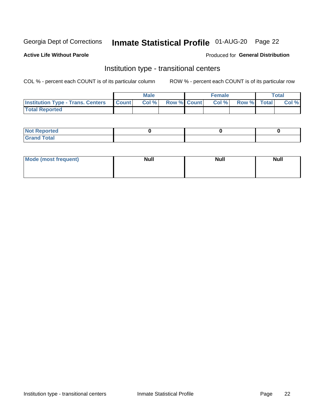## Inmate Statistical Profile 01-AUG-20 Page 22

### **Active Life Without Parole**

### Produced for General Distribution

## Institution type - transitional centers

COL % - percent each COUNT is of its particular column

|                                                | Male  |                    | <b>Female</b> |                   | Total |
|------------------------------------------------|-------|--------------------|---------------|-------------------|-------|
| <b>Institution Type - Trans. Centers Count</b> | Col % | <b>Row % Count</b> |               | Col % Row % Total | Col % |
| <b>Total Reported</b>                          |       |                    |               |                   |       |

| <b>Reported</b><br><b>NOT</b><br>$\sim$            |  |  |
|----------------------------------------------------|--|--|
| $f$ $f \circ f \circ f$<br>$C = 1$<br><b>TULAI</b> |  |  |

| Mode (most frequent) | <b>Null</b> | <b>Null</b> | <b>Null</b> |
|----------------------|-------------|-------------|-------------|
|                      |             |             |             |
|                      |             |             |             |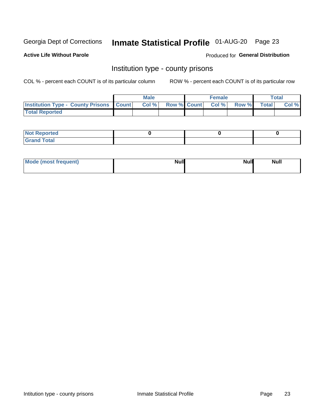## Inmate Statistical Profile 01-AUG-20 Page 23

**Active Life Without Parole** 

Produced for General Distribution

## Institution type - county prisons

COL % - percent each COUNT is of its particular column

|                                                    | <b>Male</b> |       |  | <b>Female</b> |                          |             | <b>Total</b> |       |
|----------------------------------------------------|-------------|-------|--|---------------|--------------------------|-------------|--------------|-------|
| <b>Institution Type - County Prisons   Count  </b> |             | Col % |  |               | <b>Row % Count Col %</b> | Row % Total |              | Col % |
| <b>Total Reported</b>                              |             |       |  |               |                          |             |              |       |

| <b>Not</b><br>: Reported<br> |  |  |
|------------------------------|--|--|
| <b>Total</b><br>---          |  |  |

| Mode (most frequent) | <b>Null</b> | <b>Null</b><br><b>Null</b> |
|----------------------|-------------|----------------------------|
|                      |             |                            |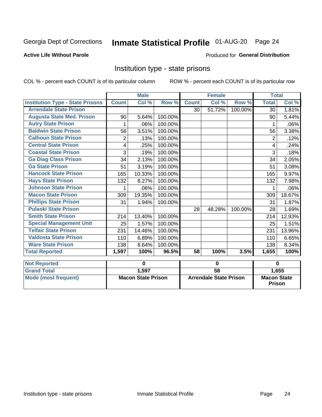## Inmate Statistical Profile 01-AUG-20 Page 24

### **Active Life Without Parole**

### Produced for General Distribution

## Institution type - state prisons

COL % - percent each COUNT is of its particular column ROW % - percent each COUNT is of its particular row

|                                         | <b>Male</b>    |                           |         | <b>Female</b>   |                               |         | <b>Total</b>    |                                     |  |  |
|-----------------------------------------|----------------|---------------------------|---------|-----------------|-------------------------------|---------|-----------------|-------------------------------------|--|--|
| <b>Institution Type - State Prisons</b> | <b>Count</b>   | Col %                     | Row %   | <b>Count</b>    | Col %                         | Row %   | <b>Total</b>    | Col %                               |  |  |
| <b>Arrendale State Prison</b>           |                |                           |         | 30 <sup>1</sup> | 51.72%                        | 100.00% | 30 <sub>1</sub> | 1.81%                               |  |  |
| <b>Augusta State Med. Prison</b>        | 90             | 5.64%                     | 100.00% |                 |                               |         | 90              | 5.44%                               |  |  |
| <b>Autry State Prison</b>               |                | .06%                      | 100.00% |                 |                               |         |                 | .06%                                |  |  |
| <b>Baldwin State Prison</b>             | 56             | 3.51%                     | 100.00% |                 |                               |         | 56              | 3.38%                               |  |  |
| <b>Calhoun State Prison</b>             | $\overline{2}$ | .13%                      | 100.00% |                 |                               |         | $\overline{2}$  | .12%                                |  |  |
| <b>Central State Prison</b>             | 4              | .25%                      | 100.00% |                 |                               |         | 4               | .24%                                |  |  |
| <b>Coastal State Prison</b>             | 3              | .19%                      | 100.00% |                 |                               |         | 3               | .18%                                |  |  |
| <b>Ga Diag Class Prison</b>             | 34             | 2.13%                     | 100.00% |                 |                               |         | 34              | 2.05%                               |  |  |
| <b>Ga State Prison</b>                  | 51             | 3.19%                     | 100.00% |                 |                               |         | 51              | 3.08%                               |  |  |
| <b>Hancock State Prison</b>             | 165            | 10.33%                    | 100.00% |                 |                               |         | 165             | 9.97%                               |  |  |
| <b>Hays State Prison</b>                | 132            | 8.27%                     | 100.00% |                 |                               |         | 132             | 7.98%                               |  |  |
| <b>Johnson State Prison</b>             | 1              | .06%                      | 100.00% |                 |                               |         | 1               | .06%                                |  |  |
| <b>Macon State Prison</b>               | 309            | 19.35%                    | 100.00% |                 |                               |         | 309             | 18.67%                              |  |  |
| <b>Phillips State Prison</b>            | 31             | 1.94%                     | 100.00% |                 |                               |         | 31              | 1.87%                               |  |  |
| <b>Pulaski State Prison</b>             |                |                           |         | 28              | 48.28%                        | 100.00% | 28              | 1.69%                               |  |  |
| <b>Smith State Prison</b>               | 214            | 13.40%                    | 100.00% |                 |                               |         | 214             | 12.93%                              |  |  |
| <b>Special Management Unit</b>          | 25             | 1.57%                     | 100.00% |                 |                               |         | 25              | 1.51%                               |  |  |
| <b>Telfair State Prison</b>             | 231            | 14.46%                    | 100.00% |                 |                               |         | 231             | 13.96%                              |  |  |
| <b>Valdosta State Prison</b>            | 110            | 6.89%                     | 100.00% |                 |                               |         | 110             | 6.65%                               |  |  |
| <b>Ware State Prison</b>                | 138            | 8.64%                     | 100.00% |                 |                               |         | 138             | 8.34%                               |  |  |
| <b>Total Reported</b>                   | 1,597          | 100%                      | 96.5%   | $\overline{58}$ | 100%                          | 3.5%    | 1,655           | 100%                                |  |  |
| <b>Not Reported</b>                     |                | 0                         |         | $\bf{0}$        |                               |         |                 | $\bf{0}$                            |  |  |
| <b>Grand Total</b>                      |                | 1,597                     |         | $\overline{58}$ |                               |         |                 | 1,655                               |  |  |
| <b>Mode (most frequent)</b>             |                |                           |         |                 |                               |         |                 |                                     |  |  |
|                                         |                | <b>Macon State Prison</b> |         |                 | <b>Arrendale State Prison</b> |         |                 | <b>Macon State</b><br><b>Prison</b> |  |  |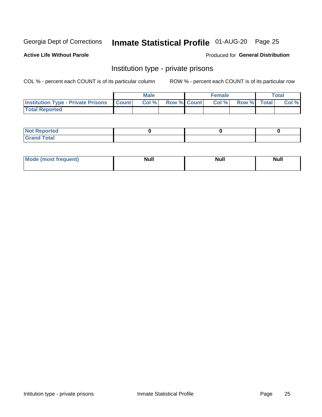## Inmate Statistical Profile 01-AUG-20 Page 25

### **Active Life Without Parole**

### Produced for General Distribution

## Institution type - private prisons

COL % - percent each COUNT is of its particular column

|                                                 | <b>Male</b> |       |                    | <b>Female</b> |       |             | Total |       |
|-------------------------------------------------|-------------|-------|--------------------|---------------|-------|-------------|-------|-------|
| <b>Institution Type - Private Prisons Count</b> |             | Col % | <b>Row % Count</b> |               | Col % | Row % Total |       | Col % |
| <b>Total Reported</b>                           |             |       |                    |               |       |             |       |       |

| Not Reported           |  |  |
|------------------------|--|--|
| <b>Cotal</b><br>______ |  |  |

| <b>Mo</b><br>frequent) | <b>Null</b> | <b>Null</b> | . . I *<br><b>IVUII</b> |
|------------------------|-------------|-------------|-------------------------|
|                        |             |             |                         |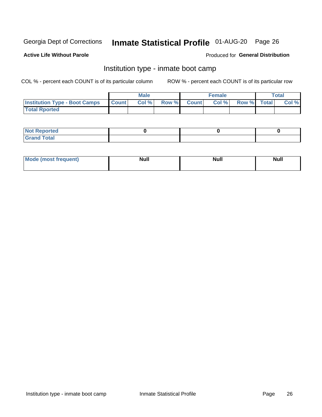## Inmate Statistical Profile 01-AUG-20 Page 26

### **Active Life Without Parole**

### Produced for General Distribution

## Institution type - inmate boot camp

COL % - percent each COUNT is of its particular column

|                                      | <b>Male</b>  |       |               |              | <b>Female</b> | <b>Total</b> |  |       |
|--------------------------------------|--------------|-------|---------------|--------------|---------------|--------------|--|-------|
| <b>Institution Type - Boot Camps</b> | <b>Count</b> | Col % | <b>Row %I</b> | <b>Count</b> | Col %         | Row % Total  |  | Col % |
| <b>Total Rported</b>                 |              |       |               |              |               |              |  |       |

| <b>Not Reported</b>            |  |  |
|--------------------------------|--|--|
| <b>Total</b><br>C <sub>r</sub> |  |  |

| Mod<br>uamo | Nul.<br>$- - - - - -$ | <b>Null</b> | <br>uu.<br>------ |
|-------------|-----------------------|-------------|-------------------|
|             |                       |             |                   |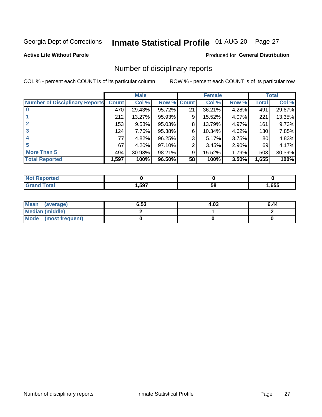## Inmate Statistical Profile 01-AUG-20 Page 27

### **Active Life Without Parole**

### Produced for General Distribution

## Number of disciplinary reports

COL % - percent each COUNT is of its particular column

|                                       | <b>Male</b>  |        |        | <b>Female</b> |        |       | <b>Total</b> |        |
|---------------------------------------|--------------|--------|--------|---------------|--------|-------|--------------|--------|
| <b>Number of Disciplinary Reports</b> | <b>Count</b> | Col %  | Row %  | <b>Count</b>  | Col %  | Row % | <b>Total</b> | Col %  |
|                                       | 470          | 29.43% | 95.72% | 21            | 36.21% | 4.28% | 491          | 29.67% |
|                                       | 212          | 13.27% | 95.93% | 9             | 15.52% | 4.07% | 221          | 13.35% |
| $\mathbf{2}$                          | 153          | 9.58%  | 95.03% | 8             | 13.79% | 4.97% | 161          | 9.73%  |
| 3                                     | 124          | 7.76%  | 95.38% | 6             | 10.34% | 4.62% | 130          | 7.85%  |
|                                       | 77           | 4.82%  | 96.25% | 3             | 5.17%  | 3.75% | 80           | 4.83%  |
| 5                                     | 67           | 4.20%  | 97.10% | 2             | 3.45%  | 2.90% | 69           | 4.17%  |
| <b>More Than 5</b>                    | 494          | 30.93% | 98.21% | 9             | 15.52% | 1.79% | 503          | 30.39% |
| <b>Total Reported</b>                 | 1,597        | 100%   | 96.50% | 58            | 100%   | 3.50% | 1,655        | 100%   |

| IN 6         |      |    |      |
|--------------|------|----|------|
| <b>Total</b> | ,597 | Ⴢჾ | ,655 |

| Mean (average)       | 6.53 | 4.03 | 6.44 |
|----------------------|------|------|------|
| Median (middle)      |      |      |      |
| Mode (most frequent) |      |      |      |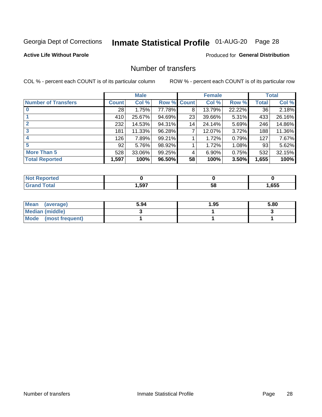## Inmate Statistical Profile 01-AUG-20 Page 28

### **Active Life Without Parole**

### **Produced for General Distribution**

## Number of transfers

COL % - percent each COUNT is of its particular column

|                            | <b>Male</b>  |        | <b>Female</b> |              |        | <b>Total</b> |              |        |
|----------------------------|--------------|--------|---------------|--------------|--------|--------------|--------------|--------|
| <b>Number of Transfers</b> | <b>Count</b> | Col %  | Row %         | <b>Count</b> | Col %  | Row %        | <b>Total</b> | Col %  |
|                            | 28           | 1.75%  | 77.78%        | 8            | 13.79% | 22.22%       | 36           | 2.18%  |
|                            | 410          | 25.67% | 94.69%        | 23           | 39.66% | 5.31%        | 433          | 26.16% |
| $\mathbf{2}$               | 232          | 14.53% | 94.31%        | 14           | 24.14% | 5.69%        | 246          | 14.86% |
| 3                          | 181          | 11.33% | 96.28%        | 7            | 12.07% | 3.72%        | 188          | 11.36% |
| 4                          | 126          | 7.89%  | 99.21%        |              | 1.72%  | 0.79%        | 127          | 7.67%  |
| 5                          | 92           | 5.76%  | 98.92%        |              | 1.72%  | 1.08%        | 93           | 5.62%  |
| <b>More Than 5</b>         | 528          | 33.06% | 99.25%        | 4            | 6.90%  | 0.75%        | 532          | 32.15% |
| <b>Total Reported</b>      | 1,597        | 100%   | 96.50%        | 58           | 100%   | 3.50%        | 1,655        | 100%   |

| ר feo<br>NOT |      |    |      |
|--------------|------|----|------|
| `otal        | ,597 | 58 | .655 |

| Mean (average)       | 5.94 | 1.95 | 5.80 |
|----------------------|------|------|------|
| Median (middle)      |      |      |      |
| Mode (most frequent) |      |      |      |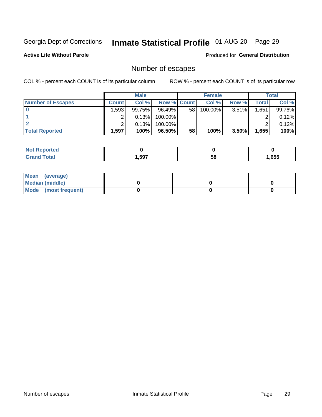## Inmate Statistical Profile 01-AUG-20 Page 29

**Active Life Without Parole** 

Produced for General Distribution

## Number of escapes

COL % - percent each COUNT is of its particular column

|                          | <b>Male</b>  |        |                    | <b>Female</b> |         |          | Total     |        |
|--------------------------|--------------|--------|--------------------|---------------|---------|----------|-----------|--------|
| <b>Number of Escapes</b> | <b>Count</b> | Col %  | <b>Row % Count</b> |               | Col %   | Row %    | Total     | Col %  |
|                          | .593         | 99.75% | $96.49\%$          | 58            | 100.00% | $3.51\%$ | $1,651 +$ | 99.76% |
|                          |              | 0.13%  | 100.00%            |               |         |          |           | 0.12%  |
|                          |              | 0.13%  | $100.00\%$         |               |         |          |           | 0.12%  |
| <b>Total Reported</b>    | .,597        | 100%   | 96.50%             | 58            | 100%    | 3.50%    | 1,655     | 100%   |

| rtea<br>NO:    |      |    |      |
|----------------|------|----|------|
| `otal<br>Grand | ,597 | 58 | ,655 |

| Mean (average)       |  |  |
|----------------------|--|--|
| Median (middle)      |  |  |
| Mode (most frequent) |  |  |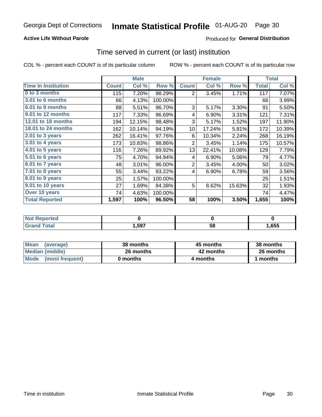### **Active Life Without Parole**

## **Produced for General Distribution**

## Time served in current (or last) institution

COL % - percent each COUNT is of its particular column

|                            |              | <b>Male</b> |         |                | <b>Female</b> | <b>Total</b> |              |        |
|----------------------------|--------------|-------------|---------|----------------|---------------|--------------|--------------|--------|
| <b>Time In Institution</b> | <b>Count</b> | Col %       | Row %   | <b>Count</b>   | Col %         | Row %        | <b>Total</b> | Col %  |
| 0 to 3 months              | 115          | 7.20%       | 98.29%  | 2              | 3.45%         | 1.71%        | 117          | 7.07%  |
| <b>3.01 to 6 months</b>    | 66           | 4.13%       | 100.00% |                |               |              | 66           | 3.99%  |
| 6.01 to 9 months           | 88           | 5.51%       | 96.70%  | 3              | 5.17%         | 3.30%        | 91           | 5.50%  |
| 9.01 to 12 months          | 117          | 7.33%       | 96.69%  | 4              | 6.90%         | 3.31%        | 121          | 7.31%  |
| 12.01 to 18 months         | 194          | 12.15%      | 98.48%  | 3              | 5.17%         | 1.52%        | 197          | 11.90% |
| <b>18.01 to 24 months</b>  | 162          | 10.14%      | 94.19%  | 10             | 17.24%        | 5.81%        | 172          | 10.39% |
| $2.01$ to 3 years          | 262          | 16.41%      | 97.76%  | 6              | 10.34%        | 2.24%        | 268          | 16.19% |
| $3.01$ to 4 years          | 173          | 10.83%      | 98.86%  | $\overline{2}$ | 3.45%         | 1.14%        | 175          | 10.57% |
| $4.01$ to 5 years          | 116          | 7.26%       | 89.92%  | 13             | 22.41%        | 10.08%       | 129          | 7.79%  |
| 5.01 to 6 years            | 75           | 4.70%       | 94.94%  | 4              | 6.90%         | 5.06%        | 79           | 4.77%  |
| 6.01 to 7 years            | 48           | 3.01%       | 96.00%  | $\overline{2}$ | 3.45%         | 4.00%        | 50           | 3.02%  |
| 7.01 to 8 years            | 55           | 3.44%       | 93.22%  | 4              | 6.90%         | 6.78%        | 59           | 3.56%  |
| 8.01 to 9 years            | 25           | 1.57%       | 100.00% |                |               |              | 25           | 1.51%  |
| 9.01 to 10 years           | 27           | 1.69%       | 84.38%  | 5              | 8.62%         | 15.63%       | 32           | 1.93%  |
| Over 10 years              | 74           | 4.63%       | 100.00% |                |               |              | 74           | 4.47%  |
| <b>Total Reported</b>      | 1,597        | 100%        | 96.50%  | 58             | 100%          | 3.50%        | 1,655        | 100%   |

| Reported<br>NOT        |      |    |      |
|------------------------|------|----|------|
| $f \wedge f \wedge f'$ | ,597 | vu | ,655 |

| <b>Mean</b><br>(average) | 38 months | 45 months | 38 months |
|--------------------------|-----------|-----------|-----------|
| Median (middle)          | 26 months | 42 months | 26 months |
| Mode (most frequent)     | 0 months  | 4 months  | 1 months  |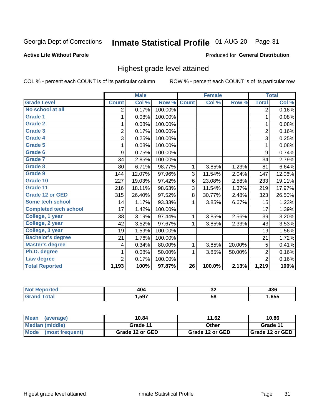## Inmate Statistical Profile 01-AUG-20 Page 31

### **Active Life Without Parole**

### Produced for General Distribution

## Highest grade level attained

COL % - percent each COUNT is of its particular column

|                              |                | <b>Male</b> |         |                 | <b>Female</b> |        |                | <b>Total</b> |
|------------------------------|----------------|-------------|---------|-----------------|---------------|--------|----------------|--------------|
| <b>Grade Level</b>           | <b>Count</b>   | Col %       | Row %   | <b>Count</b>    | Col %         | Row %  | <b>Total</b>   | Col %        |
| No school at all             | 2              | 0.17%       | 100.00% |                 |               |        | $\overline{2}$ | 0.16%        |
| <b>Grade 1</b>               | 1              | 0.08%       | 100.00% |                 |               |        | 1              | 0.08%        |
| <b>Grade 2</b>               | 1              | 0.08%       | 100.00% |                 |               |        | 1              | 0.08%        |
| Grade 3                      | $\overline{2}$ | 0.17%       | 100.00% |                 |               |        | $\overline{2}$ | 0.16%        |
| Grade 4                      | 3              | 0.25%       | 100.00% |                 |               |        | 3              | 0.25%        |
| Grade 5                      | 1              | 0.08%       | 100.00% |                 |               |        | 1              | 0.08%        |
| Grade 6                      | 9              | 0.75%       | 100.00% |                 |               |        | 9              | 0.74%        |
| Grade 7                      | 34             | 2.85%       | 100.00% |                 |               |        | 34             | 2.79%        |
| Grade 8                      | 80             | 6.71%       | 98.77%  | 1               | 3.85%         | 1.23%  | 81             | 6.64%        |
| Grade 9                      | 144            | 12.07%      | 97.96%  | 3               | 11.54%        | 2.04%  | 147            | 12.06%       |
| Grade 10                     | 227            | 19.03%      | 97.42%  | 6               | 23.08%        | 2.58%  | 233            | 19.11%       |
| Grade 11                     | 216            | 18.11%      | 98.63%  | 3               | 11.54%        | 1.37%  | 219            | 17.97%       |
| <b>Grade 12 or GED</b>       | 315            | 26.40%      | 97.52%  | 8               | 30.77%        | 2.48%  | 323            | 26.50%       |
| Some tech school             | 14             | 1.17%       | 93.33%  | 1               | 3.85%         | 6.67%  | 15             | 1.23%        |
| <b>Completed tech school</b> | 17             | 1.42%       | 100.00% |                 |               |        | 17             | 1.39%        |
| College, 1 year              | 38             | 3.19%       | 97.44%  | 1               | 3.85%         | 2.56%  | 39             | 3.20%        |
| College, 2 year              | 42             | 3.52%       | 97.67%  | 1               | 3.85%         | 2.33%  | 43             | 3.53%        |
| College, 3 year              | 19             | 1.59%       | 100.00% |                 |               |        | 19             | 1.56%        |
| <b>Bachelor's degree</b>     | 21             | 1.76%       | 100.00% |                 |               |        | 21             | 1.72%        |
| <b>Master's degree</b>       | 4              | 0.34%       | 80.00%  | 1               | 3.85%         | 20.00% | 5              | 0.41%        |
| Ph.D. degree                 | 1              | 0.08%       | 50.00%  | 1               | 3.85%         | 50.00% | $\overline{2}$ | 0.16%        |
| Law degree                   | $\overline{2}$ | 0.17%       | 100.00% |                 |               |        | $\overline{2}$ | 0.16%        |
| <b>Total Reported</b>        | 1,193          | 100%        | 97.87%  | $\overline{26}$ | 100.0%        | 2.13%  | 1,219          | 100%         |

| NO   | AC.  | ^^  | .    |
|------|------|-----|------|
| rtec |      | ◡▵  | 400  |
| υιαι | .597 | -58 | ,655 |

| <b>Mean</b><br>(average) | 10.84           | 11.62           | 10.86           |
|--------------------------|-----------------|-----------------|-----------------|
| <b>Median (middle)</b>   | Grade 11        | Other           | Grade 11        |
| Mode<br>(most frequent)  | Grade 12 or GED | Grade 12 or GED | Grade 12 or GED |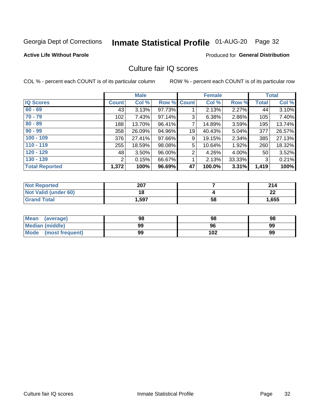## Inmate Statistical Profile 01-AUG-20 Page 32

### **Active Life Without Parole**

### Produced for General Distribution

## Culture fair IQ scores

COL % - percent each COUNT is of its particular column

|                       |                       | <b>Male</b> |        |                | <b>Female</b> |          |              | <b>Total</b> |
|-----------------------|-----------------------|-------------|--------|----------------|---------------|----------|--------------|--------------|
| <b>IQ Scores</b>      | <b>Count</b>          | Col %       | Row %  | Count          | Col %         | Row %    | <b>Total</b> | Col %        |
| $60 - 69$             | 43                    | 3.13%       | 97.73% |                | 2.13%         | 2.27%    | 44           | 3.10%        |
| $70 - 79$             | 102                   | 7.43%       | 97.14% | 3              | 6.38%         | 2.86%    | 105          | 7.40%        |
| $80 - 89$             | 188                   | 13.70%      | 96.41% | 7              | 14.89%        | 3.59%    | 195          | 13.74%       |
| $90 - 99$             | 358                   | 26.09%      | 94.96% | 19             | 40.43%        | 5.04%    | 377          | 26.57%       |
| $100 - 109$           | 376                   | 27.41%      | 97.66% | 9              | 19.15%        | 2.34%    | 385          | 27.13%       |
| $110 - 119$           | 255                   | 18.59%      | 98.08% | 5              | 10.64%        | 1.92%    | 260          | 18.32%       |
| $120 - 129$           | 48                    | $3.50\%$    | 96.00% | $\overline{2}$ | 4.26%         | $4.00\%$ | 50           | 3.52%        |
| $130 - 139$           | $\mathbf{2}^{\prime}$ | 0.15%       | 66.67% | 1              | 2.13%         | 33.33%   | 3            | 0.21%        |
| <b>Total Reported</b> | 1,372                 | 100%        | 96.69% | 47             | 100.0%        | 3.31%    | 1,419        | 100%         |

| <b>Not Reported</b>  | 207   |    | 214     |
|----------------------|-------|----|---------|
| Not Valid (under 60) | 18    |    | ົ<br>LL |
| <b>Grand Total</b>   | 1,597 | 58 | 1,655   |

| <b>Mean</b><br>(average) | 98 | 98  | 98 |
|--------------------------|----|-----|----|
| Median (middle)          | 99 | 96  | 99 |
| Mode (most frequent)     | 99 | 102 | 99 |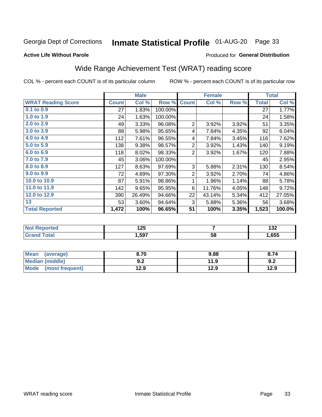## Inmate Statistical Profile 01-AUG-20 Page 33

### **Active Life Without Parole**

### Produced for General Distribution

## Wide Range Achievement Test (WRAT) reading score

COL % - percent each COUNT is of its particular column

|                           |              | <b>Male</b> |         |                | <b>Female</b> |       |              | <b>Total</b> |
|---------------------------|--------------|-------------|---------|----------------|---------------|-------|--------------|--------------|
| <b>WRAT Reading Score</b> | <b>Count</b> | Col %       | Row %   | <b>Count</b>   | Col %         | Row % | <b>Total</b> | Col %        |
| 0.1 to 0.9                | 27           | 1.83%       | 100.00% |                |               |       | 27           | 1.77%        |
| 1.0 to 1.9                | 24           | 1.63%       | 100.00% |                |               |       | 24           | 1.58%        |
| 2.0 to 2.9                | 49           | 3.33%       | 96.08%  | $\overline{2}$ | 3.92%         | 3.92% | 51           | 3.35%        |
| 3.0 to 3.9                | 88           | 5.98%       | 95.65%  | 4              | 7.84%         | 4.35% | 92           | 6.04%        |
| 4.0 to 4.9                | 112          | 7.61%       | 96.55%  | 4              | 7.84%         | 3.45% | 116          | 7.62%        |
| 5.0 to 5.9                | 138          | 9.38%       | 98.57%  | $\overline{2}$ | 3.92%         | 1.43% | 140          | 9.19%        |
| 6.0 to 6.9                | 118          | 8.02%       | 98.33%  | $\overline{2}$ | 3.92%         | 1.67% | 120          | 7.88%        |
| 7.0 to 7.9                | 45           | 3.06%       | 100.00% |                |               |       | 45           | 2.95%        |
| 8.0 to 8.9                | 127          | 8.63%       | 97.69%  | 3              | 5.88%         | 2.31% | 130          | 8.54%        |
| 9.0 to 9.9                | 72           | 4.89%       | 97.30%  | $\overline{2}$ | 3.92%         | 2.70% | 74           | 4.86%        |
| 10.0 to 10.9              | 87           | 5.91%       | 98.86%  | 1              | 1.96%         | 1.14% | 88           | 5.78%        |
| 11.0 to 11.9              | 142          | 9.65%       | 95.95%  | 6              | 11.76%        | 4.05% | 148          | 9.72%        |
| 12.0 to 12.9              | 390          | 26.49%      | 94.66%  | 22             | 43.14%        | 5.34% | 412          | 27.05%       |
| 13                        | 53           | 3.60%       | 94.64%  | 3              | 5.88%         | 5.36% | 56           | 3.68%        |
| <b>Total Reported</b>     | 1,472        | 100%        | 96.65%  | 51             | 100%          | 3.35% | 1,523        | 100.0%       |

| <b>Not Reported</b>   | אמ ו<br>12J |    | ,<br>1JZ |
|-----------------------|-------------|----|----------|
| <b>Total</b><br>Grand | 1,597       | 58 | ,655     |

| <b>Mean</b><br>(average)       | 8.70       | 9.88 | 8.74 |
|--------------------------------|------------|------|------|
| <b>Median (middle)</b>         | י ה<br>J.Z | 11.9 | 9.2  |
| <b>Mode</b><br>(most frequent) | 12.9       | 12.9 | 12.9 |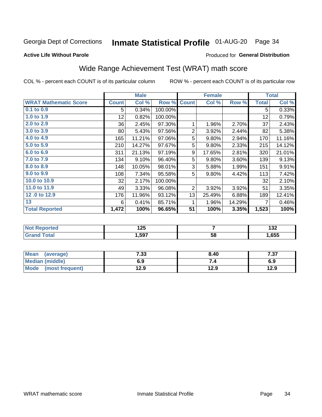## Inmate Statistical Profile 01-AUG-20 Page 34

**Active Life Without Parole** 

### Produced for General Distribution

## Wide Range Achievement Test (WRAT) math score

COL % - percent each COUNT is of its particular column

|                              |                 | <b>Male</b> |         |              | <b>Female</b> |        |              | <b>Total</b> |
|------------------------------|-----------------|-------------|---------|--------------|---------------|--------|--------------|--------------|
| <b>WRAT Mathematic Score</b> | <b>Count</b>    | Col %       | Row %   | <b>Count</b> | Col %         | Row %  | <b>Total</b> | Col %        |
| $0.1$ to $0.9$               | 5               | 0.34%       | 100.00% |              |               |        | 5            | 0.33%        |
| 1.0 to 1.9                   | 12 <sub>2</sub> | 0.82%       | 100.00% |              |               |        | 12           | 0.79%        |
| 2.0 to 2.9                   | 36              | 2.45%       | 97.30%  | 1            | 1.96%         | 2.70%  | 37           | 2.43%        |
| 3.0 to 3.9                   | 80              | 5.43%       | 97.56%  | 2            | 3.92%         | 2.44%  | 82           | 5.38%        |
| 4.0 to 4.9                   | 165             | 11.21%      | 97.06%  | 5            | 9.80%         | 2.94%  | 170          | 11.16%       |
| 5.0 to 5.9                   | 210             | 14.27%      | 97.67%  | 5            | 9.80%         | 2.33%  | 215          | 14.12%       |
| 6.0 to 6.9                   | 311             | 21.13%      | 97.19%  | 9            | 17.65%        | 2.81%  | 320          | 21.01%       |
| 7.0 to 7.9                   | 134             | 9.10%       | 96.40%  | 5            | 9.80%         | 3.60%  | 139          | 9.13%        |
| 8.0 to 8.9                   | 148             | 10.05%      | 98.01%  | 3            | 5.88%         | 1.99%  | 151          | 9.91%        |
| 9.0 to 9.9                   | 108             | 7.34%       | 95.58%  | 5            | 9.80%         | 4.42%  | 113          | 7.42%        |
| 10.0 to 10.9                 | 32              | 2.17%       | 100.00% |              |               |        | 32           | 2.10%        |
| 11.0 to 11.9                 | 49              | 3.33%       | 96.08%  | 2            | 3.92%         | 3.92%  | 51           | 3.35%        |
| 12.0 to 12.9                 | 176             | 11.96%      | 93.12%  | 13           | 25.49%        | 6.88%  | 189          | 12.41%       |
| 13                           | 6               | 0.41%       | 85.71%  | 1            | 1.96%         | 14.29% | 7            | 0.46%        |
| <b>Total Reported</b>        | 1,472           | 100%        | 96.65%  | 51           | 100%          | 3.35%  | 1,523        | 100%         |

| <b>Not Reported</b>          | אמ ו<br>ن 1 |    | ៱៱៱<br>1JZ |
|------------------------------|-------------|----|------------|
| <b>Total</b><br><b>Srand</b> | 597,،       | 58 | ,655       |

| Mean (average)         | 7.33 | 8.40 | , מ<br>، ن |
|------------------------|------|------|------------|
| <b>Median (middle)</b> | 6.9  |      | 6.9        |
| Mode (most frequent)   | 12.9 | 12.9 | 12.9       |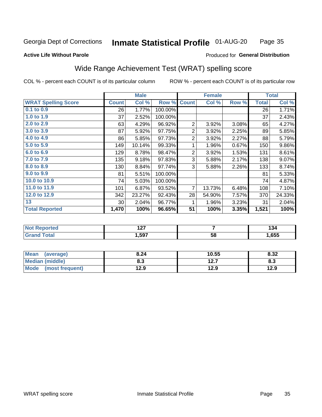#### Inmate Statistical Profile 01-AUG-20 Page 35

### **Active Life Without Parole**

### Produced for General Distribution

## Wide Range Achievement Test (WRAT) spelling score

COL % - percent each COUNT is of its particular column

|                            |                 | <b>Male</b> |         |                | <b>Female</b>           |       |              | <b>Total</b> |
|----------------------------|-----------------|-------------|---------|----------------|-------------------------|-------|--------------|--------------|
| <b>WRAT Spelling Score</b> | <b>Count</b>    | Col %       | Row %   | <b>Count</b>   | Col %                   | Row % | <b>Total</b> | Col %        |
| 0.1 to 0.9                 | 26              | 1.77%       | 100.00% |                |                         |       | 26           | 1.71%        |
| 1.0 to 1.9                 | 37              | 2.52%       | 100.00% |                |                         |       | 37           | 2.43%        |
| 2.0 to 2.9                 | 63              | 4.29%       | 96.92%  | 2              | 3.92%                   | 3.08% | 65           | 4.27%        |
| 3.0 to 3.9                 | 87              | 5.92%       | 97.75%  | 2              | 3.92%                   | 2.25% | 89           | 5.85%        |
| 4.0 to 4.9                 | 86              | 5.85%       | 97.73%  | 2              | 3.92%                   | 2.27% | 88           | 5.79%        |
| 5.0 t0 5.9                 | 149             | 10.14%      | 99.33%  | 1              | 1.96%                   | 0.67% | 150          | 9.86%        |
| 6.0 to 6.9                 | 129             | 8.78%       | 98.47%  | $\overline{2}$ | 3.92%                   | 1.53% | 131          | 8.61%        |
| 7.0 to 7.9                 | 135             | 9.18%       | 97.83%  | 3              | 5.88%                   | 2.17% | 138          | 9.07%        |
| 8.0 to 8.9                 | 130             | 8.84%       | 97.74%  | 3              | 5.88%                   | 2.26% | 133          | 8.74%        |
| 9.0 to 9.9                 | 81              | 5.51%       | 100.00% |                |                         |       | 81           | 5.33%        |
| 10.0 to 10.9               | 74              | 5.03%       | 100.00% |                |                         |       | 74           | 4.87%        |
| 11.0 to 11.9               | 101             | 6.87%       | 93.52%  | 7              | 13.73%                  | 6.48% | 108          | 7.10%        |
| 12.0 to 12.9               | 342             | 23.27%      | 92.43%  | 28             | 54.90%                  | 7.57% | 370          | 24.33%       |
| 13                         | 30 <sup>°</sup> | 2.04%       | 96.77%  | 1              | 1.96%                   | 3.23% | 31           | 2.04%        |
| <b>Total Reported</b>      | 1,470           | 100%        | 96.65%  | 51             | 100%                    | 3.35% | 1,521        | 100%         |
|                            |                 |             |         |                |                         |       |              |              |
| <b>Not Reported</b>        |                 | 127         |         |                | $\overline{\mathbf{7}}$ |       |              | 134          |
| <b>Grand Total</b>         |                 | 1,597       |         |                | $\overline{58}$         |       |              | 1,655        |

| Mean (average)       | 8.24 | 10.55 | 8.32 |
|----------------------|------|-------|------|
| Median (middle)      | 8.3  | 12.7  | 8.3  |
| Mode (most frequent) | 12.9 | 12.9  | 12.9 |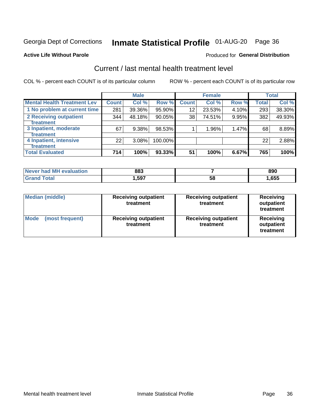## Inmate Statistical Profile 01-AUG-20 Page 36

### **Active Life Without Parole**

### Produced for General Distribution

## Current / last mental health treatment level

COL % - percent each COUNT is of its particular column

|                                    |              | <b>Male</b> |         |              | <b>Female</b> |       |              | <b>Total</b> |
|------------------------------------|--------------|-------------|---------|--------------|---------------|-------|--------------|--------------|
| <b>Mental Health Treatment Lev</b> | <b>Count</b> | Col %       | Row %   | <b>Count</b> | Col%          | Row % | <b>Total</b> | Col %        |
| 1 No problem at current time       | 281          | 39.36%      | 95.90%  | 12           | 23.53%        | 4.10% | 293          | 38.30%       |
| 2 Receiving outpatient             | 344          | 48.18%      | 90.05%  | 38           | 74.51%        | 9.95% | 382          | 49.93%       |
| <b>Treatment</b>                   |              |             |         |              |               |       |              |              |
| 3 Inpatient, moderate              | 67           | 9.38%       | 98.53%  |              | 1.96%         | 1.47% | 68           | 8.89%        |
| <b>Treatment</b>                   |              |             |         |              |               |       |              |              |
| 4 Inpatient, intensive             | 22           | 3.08%       | 100.00% |              |               |       | 22           | 2.88%        |
| <b>Treatment</b>                   |              |             |         |              |               |       |              |              |
| <b>Total Evaluated</b>             | 714          | 100%        | 93.33%  | 51           | 100%          | 6.67% | 765          | 100%         |

| Never had MH evaluation | 883   |   | 890  |
|-------------------------|-------|---|------|
| <b>Total</b>            | 597،، | ວ | ,655 |

| <b>Median (middle)</b>         | <b>Receiving outpatient</b><br>treatment | <b>Receiving outpatient</b><br>treatment | <b>Receiving</b><br>outpatient<br>treatment |  |
|--------------------------------|------------------------------------------|------------------------------------------|---------------------------------------------|--|
| <b>Mode</b><br>(most frequent) | <b>Receiving outpatient</b><br>treatment | <b>Receiving outpatient</b><br>treatment | <b>Receiving</b><br>outpatient<br>treatment |  |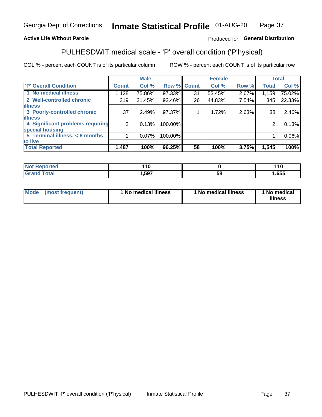#### Inmate Statistical Profile 01-AUG-20 Page 37

### **Active Life Without Parole**

### Produced for General Distribution

## PULHESDWIT medical scale - 'P' overall condition ('P'hysical)

COL % - percent each COUNT is of its particular column

|                                  |                 | <b>Male</b> |             |    | <b>Female</b> |       |              | <b>Total</b> |
|----------------------------------|-----------------|-------------|-------------|----|---------------|-------|--------------|--------------|
| 'P' Overall Condition            | <b>Count</b>    | Col %       | Row % Count |    | Col %         | Row % | <b>Total</b> | Col %        |
| 1 No medical illness             | 1,128           | 75.86%      | 97.33%      | 31 | 53.45%        | 2.67% | 1,159        | 75.02%       |
| 2 Well-controlled chronic        | 319             | 21.45%      | 92.46%      | 26 | 44.83%        | 7.54% | 345          | 22.33%       |
| <b>lillness</b>                  |                 |             |             |    |               |       |              |              |
| 3 Poorly-controlled chronic      | 37 <sup>1</sup> | 2.49%       | 97.37%      |    | 1.72%         | 2.63% | 38           | 2.46%        |
| <b>illness</b>                   |                 |             |             |    |               |       |              |              |
| 4 Significant problems requiring | 2 <sub>1</sub>  | 0.13%       | 100.00%     |    |               |       | 2            | 0.13%        |
| special housing                  |                 |             |             |    |               |       |              |              |
| 5 Terminal illness, < 6 months   |                 | 0.07%       | 100.00%     |    |               |       |              | 0.06%        |
| to live                          |                 |             |             |    |               |       |              |              |
| <b>Total Reported</b>            | 1,487           | 100%        | 96.25%      | 58 | 100%          | 3.75% | 1,545        | 100%         |

| rtea<br>⋯            | 110   |    | 44C<br>. |
|----------------------|-------|----|----------|
| $5 - 6 - 1$<br>_____ | 1,597 | Эč | ,655     |

|  |  | Mode (most frequent) | 1 No medical illness | 1 No medical illness | 1 No medical<br>illness |
|--|--|----------------------|----------------------|----------------------|-------------------------|
|--|--|----------------------|----------------------|----------------------|-------------------------|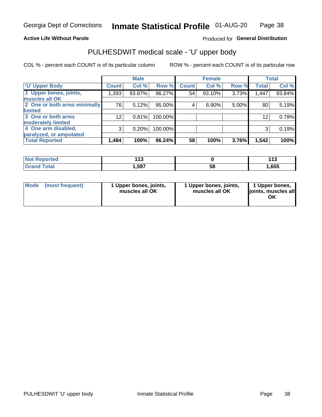### **Active Life Without Parole**

## Produced for General Distribution

## PULHESDWIT medical scale - 'U' upper body

COL % - percent each COUNT is of its particular column

|                                    | <b>Male</b> |              | <b>Female</b>                                                |       |              | <b>Total</b>   |
|------------------------------------|-------------|--------------|--------------------------------------------------------------|-------|--------------|----------------|
| <b>Count</b>                       | Col %       | <b>Count</b> | Col %                                                        |       | <b>Total</b> | Col %          |
| 1,393                              | 93.87%      | 54           | 93.10%                                                       | 3.73% | 1,447        | 93.84%         |
|                                    |             |              |                                                              |       |              |                |
| 2 One or both arms minimally<br>76 | 5.12%       | 4            | 6.90%                                                        |       | 80           | 5.19%          |
|                                    |             |              |                                                              |       |              |                |
| 12                                 | 0.81%       |              |                                                              |       | 12           | 0.78%          |
|                                    |             |              |                                                              |       |              |                |
| 3                                  | 0.20%       |              |                                                              |       | 3            | 0.19%          |
|                                    |             |              |                                                              |       |              |                |
| 1,484                              | 100%        | 58           | 100%                                                         | 3.76% | 1,542        | 100%           |
|                                    |             |              | Row %<br>96.27%<br>$95.00\%$<br>100.00%<br>100.00%<br>96.24% |       |              | Row %<br>5.00% |

| <b>Not Reported</b> | .<br>. |    | $44^{\circ}$<br>ט ו |
|---------------------|--------|----|---------------------|
| <b>Total</b>        | ,597   | 58 | ,655                |

| <b>Mode</b> | (most frequent) | 1 Upper bones, joints,<br>muscles all OK | 1 Upper bones, joints,<br>muscles all OK | 1 Upper bones,<br>ljoints, muscles all<br>ОK |
|-------------|-----------------|------------------------------------------|------------------------------------------|----------------------------------------------|
|-------------|-----------------|------------------------------------------|------------------------------------------|----------------------------------------------|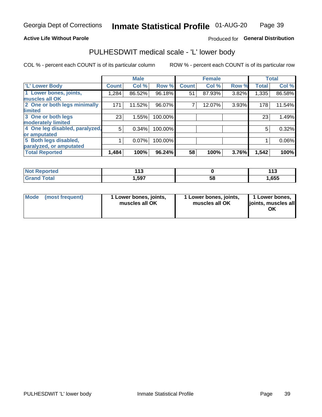### **Active Life Without Parole**

### Produced for General Distribution

## PULHESDWIT medical scale - 'L' lower body

COL % - percent each COUNT is of its particular column

|                                |              | <b>Male</b> |         |              | <b>Female</b> |       |              | <b>Total</b> |
|--------------------------------|--------------|-------------|---------|--------------|---------------|-------|--------------|--------------|
| 'L' Lower Body                 | <b>Count</b> | Col %       | Row %   | <b>Count</b> | Col %         | Row % | <b>Total</b> | Col %        |
| 1 Lower bones, joints,         | 1,284        | 86.52%      | 96.18%  | 51           | 87.93%        | 3.82% | 1,335        | 86.58%       |
| muscles all OK                 |              |             |         |              |               |       |              |              |
| 2 One or both legs minimally   | 171          | 11.52%      | 96.07%  |              | 12.07%        | 3.93% | 178          | 11.54%       |
| limited                        |              |             |         |              |               |       |              |              |
| 3 One or both legs             | 23           | 1.55%       | 100.00% |              |               |       | 23           | 1.49%        |
| moderately limited             |              |             |         |              |               |       |              |              |
| 4 One leg disabled, paralyzed, | 5            | 0.34%       | 100.00% |              |               |       | 5            | 0.32%        |
| or amputated                   |              |             |         |              |               |       |              |              |
| 5 Both legs disabled,          |              | 0.07%       | 100.00% |              |               |       |              | 0.06%        |
| paralyzed, or amputated        |              |             |         |              |               |       |              |              |
| <b>Total Reported</b>          | 1,484        | 100%        | 96.24%  | 58           | 100%          | 3.76% | 1,542        | 100%         |

| <b>Not Reported</b> | . . U |    | $\overline{A}$<br>ט ו |
|---------------------|-------|----|-----------------------|
| <b>Grand Total</b>  | 1,597 | ວັ | ,655                  |

| Mode (most frequent) | I Lower bones, joints,<br>muscles all OK | 1 Lower bones, joints,<br>muscles all OK | 1 Lower bones,<br>joints, muscles all<br>ΟK |
|----------------------|------------------------------------------|------------------------------------------|---------------------------------------------|
|----------------------|------------------------------------------|------------------------------------------|---------------------------------------------|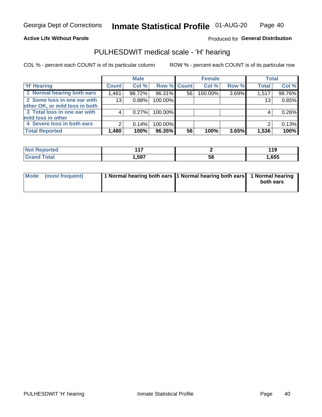### **Active Life Without Parole**

Produced for General Distribution

## PULHESDWIT medical scale - 'H' hearing

COL % - percent each COUNT is of its particular column

|                                |                 | <b>Male</b> |             |    | <b>Female</b> |       | <b>Total</b> |        |
|--------------------------------|-----------------|-------------|-------------|----|---------------|-------|--------------|--------|
| <b>H' Hearing</b>              | <b>Count</b>    | Col %       | Row % Count |    | Col %         | Row % | <b>Total</b> | Col %  |
| 1 Normal hearing both ears     | 1,461           | 98.72%      | 96.31%      | 56 | 100.00%       | 3.69% | 1,517        | 98.76% |
| 2 Some loss in one ear with    | 13 <sub>1</sub> | 0.88%       | 100.00%     |    |               |       | 13           | 0.85%  |
| other OK, or mild loss in both |                 |             |             |    |               |       |              |        |
| 3 Total loss in one ear with   | 4               | 0.27%       | 100.00%     |    |               |       | 4            | 0.26%  |
| mild loss in other             |                 |             |             |    |               |       |              |        |
| 4 Severe loss in both ears     | 2               | 0.14%       | 100.00%     |    |               |       |              | 0.13%  |
| <b>Total Reported</b>          | 1,480           | 100%        | 96.35%      | 56 | 100%          | 3.65% | 1,536        | 100%   |

| 'N<br>neo | $\overline{\phantom{a}}$<br>. . |    | - 1 L<br>I I J |
|-----------|---------------------------------|----|----------------|
| _____     | 597                             | სა | ,655           |

| Mode (most frequent) | 1 Normal hearing both ears 1 Normal hearing both ears 1 Normal hearing | both ears |
|----------------------|------------------------------------------------------------------------|-----------|
|                      |                                                                        |           |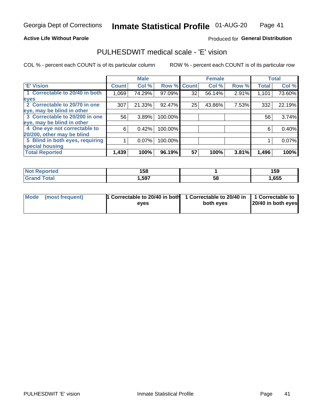### **Active Life Without Parole**

### Produced for General Distribution

## PULHESDWIT medical scale - 'E' vision

COL % - percent each COUNT is of its particular column

|                                 |              | <b>Male</b> |             |    | <b>Female</b> |       |              | <b>Total</b> |
|---------------------------------|--------------|-------------|-------------|----|---------------|-------|--------------|--------------|
| <b>E' Vision</b>                | <b>Count</b> | Col %       | Row % Count |    | Col %         | Row % | <b>Total</b> | Col %        |
| 1 Correctable to 20/40 in both  | 1,069        | 74.29%      | 97.09%      | 32 | 56.14%        | 2.91% | 1,101        | 73.60%       |
| eyes                            |              |             |             |    |               |       |              |              |
| 2 Correctable to 20/70 in one   | 307          | 21.33%      | 92.47%      | 25 | 43.86%        | 7.53% | 332          | 22.19%       |
| eye, may be blind in other      |              |             |             |    |               |       |              |              |
| 3 Correctable to 20/200 in one  | 56           | 3.89%       | 100.00%     |    |               |       | 56           | 3.74%        |
| eye, may be blind in other      |              |             |             |    |               |       |              |              |
| 4 One eye not correctable to    | 6            | 0.42%       | 100.00%     |    |               |       | 6            | 0.40%        |
| 20/200, other may be blind      |              |             |             |    |               |       |              |              |
| 5 Blind in both eyes, requiring |              | 0.07%       | 100.00%     |    |               |       |              | 0.07%        |
| special housing                 |              |             |             |    |               |       |              |              |
| <b>Total Reported</b>           | 1,439        | 100%        | 96.19%      | 57 | 100%          | 3.81% | 1,496        | 100%         |

| ੋ∩rted<br>NO      | 158  |    | 159          |
|-------------------|------|----|--------------|
| T <sub>ofol</sub> | ,597 | 58 | <b>1,655</b> |

| Mode (most frequent) | 1 Correctable to 20/40 in both<br>eves | 1 Correctable to 20/40 in   1 Correctable to  <br>both eyes | 20/40 in both eyes |
|----------------------|----------------------------------------|-------------------------------------------------------------|--------------------|
|                      |                                        |                                                             |                    |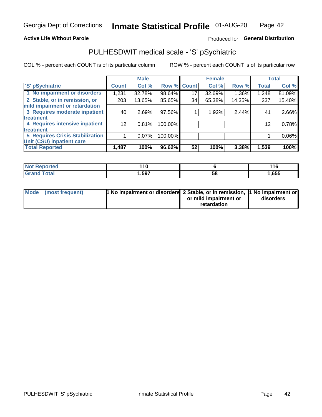### **Active Life Without Parole**

## Produced for General Distribution

## PULHESDWIT medical scale - 'S' pSychiatric

COL % - percent each COUNT is of its particular column

|                                        |              | <b>Male</b> |         |             | <b>Female</b> |        |              | <b>Total</b> |
|----------------------------------------|--------------|-------------|---------|-------------|---------------|--------|--------------|--------------|
| 'S' pSychiatric                        | <b>Count</b> | Col %       |         | Row % Count | Col %         | Row %  | <b>Total</b> | Col %        |
| 1 No impairment or disorders           | 1,231        | 82.78%      | 98.64%  | 17          | 32.69%        | 1.36%  | 1,248        | 81.09%       |
| 2 Stable, or in remission, or          | 203          | 13.65%      | 85.65%  | 34          | 65.38%        | 14.35% | 237          | 15.40%       |
| mild impairment or retardation         |              |             |         |             |               |        |              |              |
| 3 Requires moderate inpatient          | 40           | 2.69%       | 97.56%  |             | 1.92%         | 2.44%  | 41           | 2.66%        |
| treatment                              |              |             |         |             |               |        |              |              |
| 4 Requires intensive inpatient         | 12           | 0.81%       | 100.00% |             |               |        | 12           | 0.78%        |
| <b>treatment</b>                       |              |             |         |             |               |        |              |              |
| <b>5 Requires Crisis Stabilization</b> |              | 0.07%       | 100.00% |             |               |        |              | 0.06%        |
| Unit (CSU) inpatient care              |              |             |         |             |               |        |              |              |
| <b>Total Reported</b>                  | 1,487        | 100%        | 96.62%  | 52          | 100%          | 3.38%  | 1,539        | 100%         |

| <b>Not Reported</b> | .<br>. . v |    | 116   |
|---------------------|------------|----|-------|
| <b>Grand Total</b>  | ,597       | 58 | 1,655 |

| Mode (most frequent) | <b>1 No impairment or disorders</b> 2 Stable, or in remission, 11 No impairment or |                       |           |
|----------------------|------------------------------------------------------------------------------------|-----------------------|-----------|
|                      |                                                                                    | or mild impairment or | disorders |
|                      |                                                                                    | retardation           |           |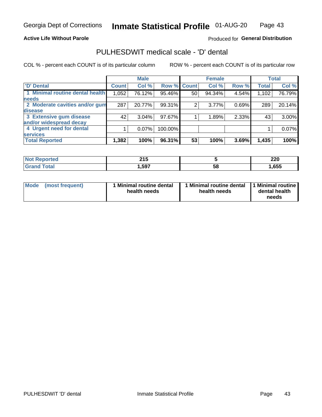### **Active Life Without Parole**

### Produced for General Distribution

## PULHESDWIT medical scale - 'D' dental

COL % - percent each COUNT is of its particular column

|                                 |              | <b>Male</b> |         |              | <b>Female</b> |       |              | <b>Total</b> |
|---------------------------------|--------------|-------------|---------|--------------|---------------|-------|--------------|--------------|
| <b>D'</b> Dental                | <b>Count</b> | Col %       | Row %   | <b>Count</b> | Col %         | Row % | <b>Total</b> | Col %        |
| 1 Minimal routine dental health | 1,052        | 76.12%      | 95.46%  | 50           | 94.34%        | 4.54% | 1,102        | 76.79%       |
| <b>needs</b>                    |              |             |         |              |               |       |              |              |
| 2 Moderate cavities and/or gum  | 287          | 20.77%      | 99.31%  | 2            | 3.77%         | 0.69% | 289          | 20.14%       |
| disease                         |              |             |         |              |               |       |              |              |
| 3 Extensive gum disease         | 42           | $3.04\%$    | 97.67%  |              | 1.89%         | 2.33% | 43           | 3.00%        |
| and/or widespread decay         |              |             |         |              |               |       |              |              |
| 4 Urgent need for dental        |              | $0.07\%$    | 100.00% |              |               |       |              | 0.07%        |
| <b>services</b>                 |              |             |         |              |               |       |              |              |
| <b>Total Reported</b>           | 1,382        | 100%        | 96.31%  | 53           | 100%          | 3.69% | 1,435        | 100%         |

| orted<br>NOT RADO<br>. | 24F<br>4 I J |    | ה מ<br>ZZU |
|------------------------|--------------|----|------------|
| Total                  | ,597         | 58 | ,655       |

| <b>Mode</b> | (most frequent) | <b>Minimal routine dental</b><br>health needs | 1 Minimal routine dental<br>health needs | <b>11 Minimal routine I</b><br>dental health<br>needs |
|-------------|-----------------|-----------------------------------------------|------------------------------------------|-------------------------------------------------------|
|-------------|-----------------|-----------------------------------------------|------------------------------------------|-------------------------------------------------------|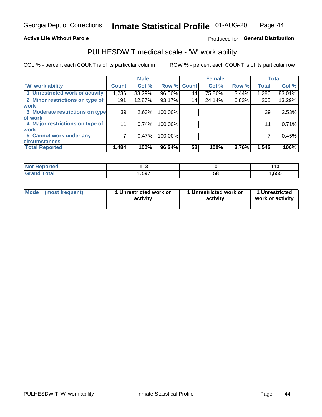### **Active Life Without Parole**

## Produced for General Distribution

## PULHESDWIT medical scale - 'W' work ability

COL % - percent each COUNT is of its particular column

|                                 |              | <b>Male</b> |         |             | <b>Female</b> |       |              | <b>Total</b> |
|---------------------------------|--------------|-------------|---------|-------------|---------------|-------|--------------|--------------|
| <b>W' work ability</b>          | <b>Count</b> | Col %       |         | Row % Count | Col %         | Row % | <b>Total</b> | Col %        |
| 1 Unrestricted work or activity | 1,236        | 83.29%      | 96.56%  | 44          | 75.86%        | 3.44% | 1,280        | 83.01%       |
| 2 Minor restrictions on type of | 191          | 12.87%      | 93.17%  | 14          | 24.14%        | 6.83% | 205          | 13.29%       |
| <b>work</b>                     |              |             |         |             |               |       |              |              |
| 3 Moderate restrictions on type | 39           | 2.63%       | 100.00% |             |               |       | 39           | 2.53%        |
| lof work                        |              |             |         |             |               |       |              |              |
| 4 Major restrictions on type of | 11           | 0.74%       | 100.00% |             |               |       | 11           | 0.71%        |
| <b>work</b>                     |              |             |         |             |               |       |              |              |
| 5 Cannot work under any         |              | 0.47%       | 100.00% |             |               |       |              | 0.45%        |
| <b>circumstances</b>            |              |             |         |             |               |       |              |              |
| <b>Total Reported</b>           | 1,484        | 100%        | 96.24%  | 58          | 100%          | 3.76% | 1,542        | 100%         |

| 'Not Reported        | 442<br>. |   | 14 C<br>. |
|----------------------|----------|---|-----------|
| <b>Total</b><br>Cror | ,597     | ວ | ,655      |

| Mode (most frequent) | 1 Unrestricted work or | 1 Unrestricted work or | 1 Unrestricted   |
|----------------------|------------------------|------------------------|------------------|
|                      | activity               | activity               | work or activity |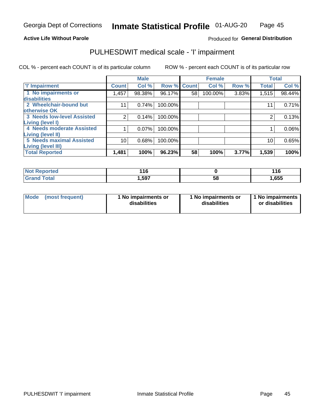### **Active Life Without Parole**

### Produced for General Distribution

## PULHESDWIT medical scale - 'I' impairment

COL % - percent each COUNT is of its particular column ROW % - percent each COUNT is of its particular row

|                                   |                | <b>Male</b> |             |    | <b>Female</b> |       |              | <b>Total</b> |
|-----------------------------------|----------------|-------------|-------------|----|---------------|-------|--------------|--------------|
| <b>T' Impairment</b>              | <b>Count</b>   | Col %       | Row % Count |    | Col %         | Row % | <b>Total</b> | Col %        |
| 1 No impairments or               | l.457          | 98.38%      | 96.17%      | 58 | 100.00%       | 3.83% | 1,515        | 98.44%       |
| disabilities                      |                |             |             |    |               |       |              |              |
| 2 Wheelchair-bound but            | 11             | 0.74%       | 100.00%     |    |               |       | 11           | 0.71%        |
| otherwise OK                      |                |             |             |    |               |       |              |              |
| <b>3 Needs low-level Assisted</b> | $\mathfrak{p}$ | 0.14%       | 100.00%     |    |               |       | 2            | 0.13%        |
| Living (level I)                  |                |             |             |    |               |       |              |              |
| 4 Needs moderate Assisted         |                | 0.07%       | 100.00%     |    |               |       |              | 0.06%        |
| <b>Living (level II)</b>          |                |             |             |    |               |       |              |              |
| <b>5 Needs maximal Assisted</b>   | 10             | 0.68%       | 100.00%     |    |               |       | 10           | 0.65%        |
| <b>Living (level III)</b>         |                |             |             |    |               |       |              |              |
| <b>Total Reported</b>             | 1,481          | 100%        | 96.23%      | 58 | 100%          | 3.77% | 1,539        | 100%         |

| Reported     | 40 <sup>o</sup><br>v<br>$\cdot$ $\cdot$ |    | $\overline{11}$<br><u>.</u> |
|--------------|-----------------------------------------|----|-----------------------------|
| <b>Total</b> | 1,597                                   | ၁၀ | 1,655                       |

| Mode | (most frequent) | 1 No impairments or<br>disabilities | 1 No impairments or<br>disabilities | 1 No impairments<br>or disabilities |
|------|-----------------|-------------------------------------|-------------------------------------|-------------------------------------|
|------|-----------------|-------------------------------------|-------------------------------------|-------------------------------------|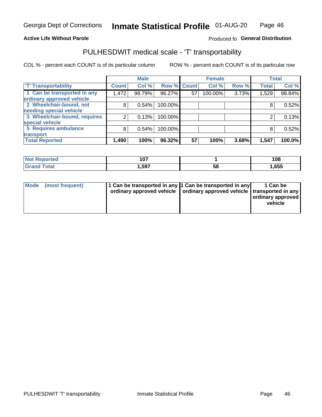### **Active Life Without Parole**

## Produced fo General Distribution

## PULHESDWIT medical scale - 'T' transportability

COL % - percent each COUNT is of its particular column

|                              |              | <b>Male</b> |             |    | <b>Female</b> |       |              | <b>Total</b> |
|------------------------------|--------------|-------------|-------------|----|---------------|-------|--------------|--------------|
| <b>T' Transportability</b>   | <b>Count</b> | Col %       | Row % Count |    | Col %         | Row % | <b>Total</b> | Col %        |
| 1 Can be transported in any  | 1,472        | 98.79%      | 96.27%      | 57 | 100.00%       | 3.73% | 1,529        | 98.84%       |
| ordinary approved vehicle    |              |             |             |    |               |       |              |              |
| 2 Wheelchair-bound, not      | 8            | 0.54%       | 100.00%     |    |               |       |              | 0.52%        |
| needing special vehicle      |              |             |             |    |               |       |              |              |
| 3 Wheelchair-bound, requires |              | 0.13%       | 100.00%     |    |               |       |              | 0.13%        |
| special vehicle              |              |             |             |    |               |       |              |              |
| 5 Requires ambulance         | 8            | 0.54%       | 100.00%     |    |               |       |              | 0.52%        |
| transport                    |              |             |             |    |               |       |              |              |
| <b>Total Reported</b>        | 1,490        | 100%        | 96.32%      | 57 | 100%          | 3.68% | 1,547        | 100.0%       |

| orted | 1 N 7<br>. ש |    | 108  |
|-------|--------------|----|------|
| `otal | 597،،        | Ⴢჾ | ,655 |

| <b>Mode</b> | (most frequent) | 1 Can be transported in any 1 Can be transported in any | ordinary approved vehicle   ordinary approved vehicle   transported in any | 1 Can be<br>  ordinary approved  <br>vehicle |
|-------------|-----------------|---------------------------------------------------------|----------------------------------------------------------------------------|----------------------------------------------|
|-------------|-----------------|---------------------------------------------------------|----------------------------------------------------------------------------|----------------------------------------------|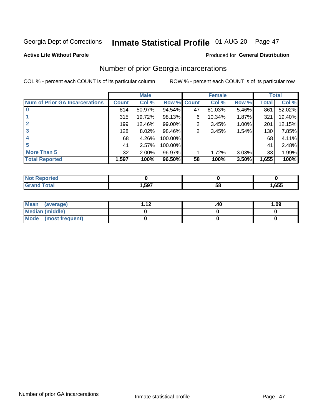## Inmate Statistical Profile 01-AUG-20 Page 47

### **Active Life Without Parole**

### Produced for General Distribution

## Number of prior Georgia incarcerations

COL % - percent each COUNT is of its particular column

|                                       |       | <b>Male</b> |             |    | <b>Female</b> |       |       | <b>Total</b> |
|---------------------------------------|-------|-------------|-------------|----|---------------|-------|-------|--------------|
| <b>Num of Prior GA Incarcerations</b> | Count | Col %       | Row % Count |    | Col %         | Row % | Total | Col %        |
| $\bf{0}$                              | 814   | 50.97%      | $94.54\%$   | 47 | 81.03%        | 5.46% | 861   | 52.02%       |
|                                       | 315   | 19.72%      | 98.13%      | 6  | 10.34%        | 1.87% | 321   | 19.40%       |
|                                       | 199   | 12.46%      | 99.00%      | 2  | 3.45%         | 1.00% | 201   | 12.15%       |
| 3                                     | 128   | 8.02%       | 98.46%      | 2  | 3.45%         | 1.54% | 130   | 7.85%        |
| 4                                     | 68    | 4.26%       | 100.00%     |    |               |       | 68    | 4.11%        |
| 5                                     | 41    | 2.57%       | 100.00%     |    |               |       | 41    | 2.48%        |
| <b>More Than 5</b>                    | 32    | 2.00%       | 96.97%      |    | 1.72%         | 3.03% | 33    | 1.99%        |
| <b>Total Reported</b>                 | 1,597 | 100%        | 96.50%      | 58 | 100%          | 3.50% | 1,655 | 100%         |

| <b>orteg</b><br><b>NOT R</b> |        |    |      |
|------------------------------|--------|----|------|
| <b>Total</b><br>Cro          | 597, ا | วช | ,655 |

| Mean (average)       | 1 1 J | .40 | 1.09 |
|----------------------|-------|-----|------|
| Median (middle)      |       |     |      |
| Mode (most frequent) |       |     |      |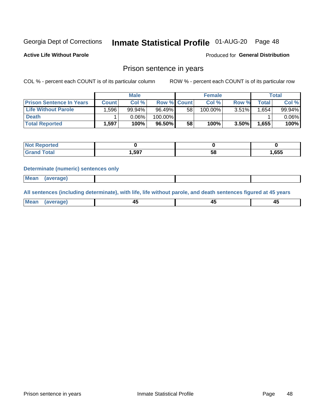## Inmate Statistical Profile 01-AUG-20 Page 48

**Active Life Without Parole** 

Produced for General Distribution

## Prison sentence in years

COL % - percent each COUNT is of its particular column

ROW % - percent each COUNT is of its particular row

|                                 | <b>Male</b>  |        |             | <b>Female</b> |         |       | Total       |          |
|---------------------------------|--------------|--------|-------------|---------------|---------|-------|-------------|----------|
| <b>Prison Sentence In Years</b> | <b>Count</b> | Col %  | Row % Count |               | Col %   | Row % | $\tau$ otal | Col %    |
| <b>Life Without Parole</b>      | .596         | 99.94% | 96.49%      | 58            | 100.00% | 3.51% | .654        | 99.94%   |
| <b>Death</b>                    |              | 0.06%  | 100.00%     |               |         |       |             | $0.06\%$ |
| <b>Total Reported</b>           | 1,597        | 100%   | 96.50%      | 58            | 100%    | 3.50% | 1,655       | 100%     |

| <b>Not Reported</b> |       |    |      |
|---------------------|-------|----|------|
| <b>Total</b>        | .,597 | วด | ,655 |

### **Determinate (numeric) sentences only**

| ' Mea<br><b>Service</b> A<br>ЯМА. |  |  |  |
|-----------------------------------|--|--|--|
|                                   |  |  |  |

All sentences (including determinate), with life, life without parole, and death sentences figured at 45 years

| l Mea<br>'ЯМА<br>.<br> | ᠇<br>$\sim$ | $\sim$ |  |
|------------------------|-------------|--------|--|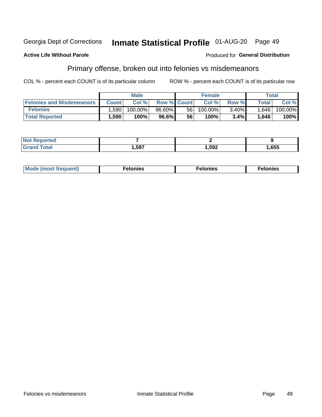#### Georgia Dept of Corrections Inmate Statistical Profile 01-AUG-20 Page 49

### **Active Life Without Parole**

### Produced for General Distribution

## Primary offense, broken out into felonies vs misdemeanors

COL % - percent each COUNT is of its particular column

|                                  | <b>Male</b>  |         |                    | <b>Female</b> |            |          | Total        |            |  |
|----------------------------------|--------------|---------|--------------------|---------------|------------|----------|--------------|------------|--|
| <b>Felonies and Misdemeanors</b> | <b>Count</b> | Col%    | <b>Row % Count</b> |               | Col%       | Row %    | <b>Total</b> | Col %      |  |
| <b>Felonies</b>                  | .590         | 100.00% | 96.60%             | 56 I          | $100.00\%$ | $3.40\%$ | 1,646        | $100.00\%$ |  |
| <b>Total Reported</b>            | .590         | 100%    | 96.6%              | 56            | 100%       | 3.4%     | .646         | 100%       |  |

| <b>Not Reported</b>          |      |      |      |
|------------------------------|------|------|------|
| <b>Total</b><br>Grand<br>uuu | ,597 | ,592 | ,655 |

| <b>Mode</b><br>frequent)<br>nies<br>≧ (most tr.<br>. | onies<br>. | lonies<br>ею<br>____ |
|------------------------------------------------------|------------|----------------------|
|------------------------------------------------------|------------|----------------------|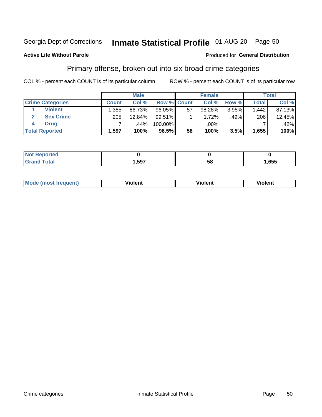## Inmate Statistical Profile 01-AUG-20 Page 50

### **Active Life Without Parole**

### Produced for General Distribution

## Primary offense, broken out into six broad crime categories

COL % - percent each COUNT is of its particular column

|                         | <b>Male</b>  |           |                    |    | <b>Female</b> |       | Total        |        |
|-------------------------|--------------|-----------|--------------------|----|---------------|-------|--------------|--------|
| <b>Crime Categories</b> | <b>Count</b> | Col %     | <b>Row % Count</b> |    | Col %         | Row % | <b>Total</b> | Col %  |
| <b>Violent</b>          | .385         | 86.73%    | 96.05%             | 57 | 98.28%        | 3.95% | 1.442        | 87.13% |
| <b>Sex Crime</b>        | 205          | $12.84\%$ | 99.51%             |    | 1.72%         | .49%  | 206          | 12.45% |
| <b>Drug</b>             |              | .44%      | 100.00%            |    | .00%          |       |              | .42%   |
| <b>Total Reported</b>   | 1,597        | 100%      | 96.5%              | 58 | 100%          | 3.5%  | 1,655        | 100%   |

| _____ | 507 | . .<br>58 | ,655 |
|-------|-----|-----------|------|

| <b>Mode (most frequent)</b> | .             |         | .     |
|-----------------------------|---------------|---------|-------|
|                             | <b>ïolent</b> | ∕iolent | ∍lent |
|                             |               |         |       |
|                             |               |         |       |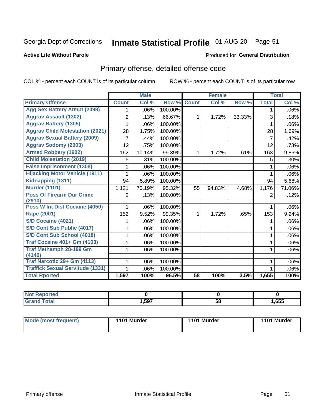## Inmate Statistical Profile 01-AUG-20 Page 51

### **Active Life Without Parole**

### Produced for General Distribution

## Primary offense, detailed offense code

COL % - percent each COUNT is of its particular column

|                                          |              | <b>Male</b>               |         |                 | <b>Female</b> |        |                | <b>Total</b> |
|------------------------------------------|--------------|---------------------------|---------|-----------------|---------------|--------|----------------|--------------|
| <b>Primary Offense</b>                   | <b>Count</b> | $\overline{\text{Col}}$ % | Row %   | <b>Count</b>    | Col %         | Row %  | <b>Total</b>   | Col %        |
| <b>Agg Sex Battery Atmpt (2099)</b>      | 1.           | .06%                      | 100.00% |                 |               |        | 1              | $.06\%$      |
| <b>Aggrav Assault (1302)</b>             | 2            | .13%                      | 66.67%  | 1               | 1.72%         | 33.33% | 3              | .18%         |
| <b>Aggrav Battery (1305)</b>             |              | .06%                      | 100.00% |                 |               |        | 1              | $.06\%$      |
| <b>Aggrav Child Molestation (2021)</b>   | 28           | 1.75%                     | 100.00% |                 |               |        | 28             | 1.69%        |
| <b>Aggrav Sexual Battery (2009)</b>      | 7            | .44%                      | 100.00% |                 |               |        | $\overline{7}$ | .42%         |
| <b>Aggrav Sodomy (2003)</b>              | 12           | .75%                      | 100.00% |                 |               |        | 12             | .73%         |
| <b>Armed Robbery (1902)</b>              | 162          | 10.14%                    | 99.39%  | 1.              | 1.72%         | .61%   | 163            | 9.85%        |
| <b>Child Molestation (2019)</b>          | 5            | .31%                      | 100.00% |                 |               |        | 5              | $.30\%$      |
| <b>False Imprisonment (1308)</b>         |              | .06%                      | 100.00% |                 |               |        | 1              | $.06\%$      |
| <b>Hijacking Motor Vehicle (1911)</b>    | 1            | .06%                      | 100.00% |                 |               |        | 1              | $.06\%$      |
| Kidnapping (1311)                        | 94           | 5.89%                     | 100.00% |                 |               |        | 94             | 5.68%        |
| <b>Murder (1101)</b>                     | 1,121        | 70.19%                    | 95.32%  | 55              | 94.83%        | 4.68%  | 1,176          | 71.06%       |
| <b>Poss Of Firearm Dur Crime</b>         | 2            | .13%                      | 100.00% |                 |               |        | 2              | .12%         |
| (2910)<br>Poss W Int Dist Cocaine (4050) |              |                           |         |                 |               |        |                |              |
|                                          | 1            | .06%                      | 100.00% |                 |               |        | 1              | $.06\%$      |
| <b>Rape (2001)</b>                       | 152          | 9.52%                     | 99.35%  | $\mathbf 1$     | 1.72%         | .65%   | 153            | 9.24%        |
| S/D Cocaine (4021)                       |              | .06%                      | 100.00% |                 |               |        |                | $.06\%$      |
| S/D Cont Sub Public (4017)               | 1            | .06%                      | 100.00% |                 |               |        | 1              | $.06\%$      |
| S/D Cont Sub School (4018)               | 1            | .06%                      | 100.00% |                 |               |        | 1              | $.06\%$      |
| <b>Traf Cocaine 401+ Gm (4103)</b>       | 1            | .06%                      | 100.00% |                 |               |        | 1              | .06%         |
| Traf Methamph 28-199 Gm<br>(4140)        | 1            | .06%                      | 100.00% |                 |               |        | 1              | $.06\%$      |
| Traf Narcotic 29+ Gm (4113)              |              | .06%                      | 100.00% |                 |               |        |                | $.06\%$      |
| <b>Traffick Sexual Servitude (1331)</b>  |              | .06%                      | 100.00% |                 |               |        |                | .06%         |
| <b>Total Rported</b>                     | 1,597        | 100%                      | 96.5%   | $\overline{58}$ | 100%          | 3.5%   | 1,655          | 100%         |

| <b>Reported</b><br><b>Not</b> |      |    |      |
|-------------------------------|------|----|------|
| Total<br>C <sub>uc</sub>      | ,597 | 58 | ,655 |

| Mode (most frequent) | 1101 Murder | 1101 Murder | 1101 Murder |
|----------------------|-------------|-------------|-------------|
|----------------------|-------------|-------------|-------------|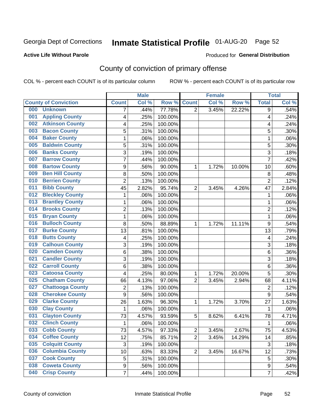## Inmate Statistical Profile 01-AUG-20 Page 52

### **Active Life Without Parole**

### **Produced for General Distribution**

## County of conviction of primary offense

COL % - percent each COUNT is of its particular column

|     |                             |                  | <b>Male</b> |         |                | <b>Female</b> |        |                | <b>Total</b> |
|-----|-----------------------------|------------------|-------------|---------|----------------|---------------|--------|----------------|--------------|
|     | <b>County of Conviction</b> | <b>Count</b>     | Col%        | Row %   | <b>Count</b>   | Col %         | Row %  | <b>Total</b>   | Col %        |
| 000 | <b>Unknown</b>              | 7                | .44%        | 77.78%  | $\overline{2}$ | 3.45%         | 22.22% | 9              | .54%         |
| 001 | <b>Appling County</b>       | 4                | .25%        | 100.00% |                |               |        | 4              | .24%         |
| 002 | <b>Atkinson County</b>      | 4                | .25%        | 100.00% |                |               |        | 4              | .24%         |
| 003 | <b>Bacon County</b>         | 5                | .31%        | 100.00% |                |               |        | 5              | .30%         |
| 004 | <b>Baker County</b>         | $\mathbf{1}$     | .06%        | 100.00% |                |               |        | 1              | .06%         |
| 005 | <b>Baldwin County</b>       | 5                | .31%        | 100.00% |                |               |        | 5              | .30%         |
| 006 | <b>Banks County</b>         | 3                | .19%        | 100.00% |                |               |        | $\overline{3}$ | .18%         |
| 007 | <b>Barrow County</b>        | $\overline{7}$   | .44%        | 100.00% |                |               |        | $\overline{7}$ | .42%         |
| 008 | <b>Bartow County</b>        | 9                | .56%        | 90.00%  | 1              | 1.72%         | 10.00% | 10             | .60%         |
| 009 | <b>Ben Hill County</b>      | 8                | .50%        | 100.00% |                |               |        | 8              | .48%         |
| 010 | <b>Berrien County</b>       | $\overline{2}$   | .13%        | 100.00% |                |               |        | $\overline{2}$ | .12%         |
| 011 | <b>Bibb County</b>          | 45               | 2.82%       | 95.74%  | $\overline{2}$ | 3.45%         | 4.26%  | 47             | 2.84%        |
| 012 | <b>Bleckley County</b>      | $\mathbf{1}$     | .06%        | 100.00% |                |               |        | $\mathbf{1}$   | .06%         |
| 013 | <b>Brantley County</b>      | $\mathbf{1}$     | .06%        | 100.00% |                |               |        | $\mathbf{1}$   | .06%         |
| 014 | <b>Brooks County</b>        | $\overline{2}$   | .13%        | 100.00% |                |               |        | $\overline{2}$ | .12%         |
| 015 | <b>Bryan County</b>         | $\mathbf{1}$     | .06%        | 100.00% |                |               |        | $\mathbf{1}$   | .06%         |
| 016 | <b>Bulloch County</b>       | 8                | .50%        | 88.89%  | 1              | 1.72%         | 11.11% | 9              | .54%         |
| 017 | <b>Burke County</b>         | 13               | .81%        | 100.00% |                |               |        | 13             | .79%         |
| 018 | <b>Butts County</b>         | 4                | .25%        | 100.00% |                |               |        | 4              | .24%         |
| 019 | <b>Calhoun County</b>       | 3                | .19%        | 100.00% |                |               |        | $\overline{3}$ | .18%         |
| 020 | <b>Camden County</b>        | 6                | .38%        | 100.00% |                |               |        | 6              | .36%         |
| 021 | <b>Candler County</b>       | 3                | .19%        | 100.00% |                |               |        | 3              | .18%         |
| 022 | <b>Carroll County</b>       | 6                | .38%        | 100.00% |                |               |        | 6              | .36%         |
| 023 | <b>Catoosa County</b>       | 4                | .25%        | 80.00%  | 1              | 1.72%         | 20.00% | 5              | .30%         |
| 025 | <b>Chatham County</b>       | 66               | 4.13%       | 97.06%  | $\overline{2}$ | 3.45%         | 2.94%  | 68             | 4.11%        |
| 027 | <b>Chattooga County</b>     | $\overline{2}$   | .13%        | 100.00% |                |               |        | $\overline{2}$ | .12%         |
| 028 | <b>Cherokee County</b>      | $\boldsymbol{9}$ | .56%        | 100.00% |                |               |        | 9              | .54%         |
| 029 | <b>Clarke County</b>        | 26               | 1.63%       | 96.30%  | 1              | 1.72%         | 3.70%  | 27             | 1.63%        |
| 030 | <b>Clay County</b>          | $\mathbf{1}$     | .06%        | 100.00% |                |               |        | $\mathbf{1}$   | .06%         |
| 031 | <b>Clayton County</b>       | 73               | 4.57%       | 93.59%  | 5              | 8.62%         | 6.41%  | 78             | 4.71%        |
| 032 | <b>Clinch County</b>        | 1                | .06%        | 100.00% |                |               |        | 1              | .06%         |
| 033 | <b>Cobb County</b>          | 73               | 4.57%       | 97.33%  | 2              | 3.45%         | 2.67%  | 75             | 4.53%        |
| 034 | <b>Coffee County</b>        | 12               | .75%        | 85.71%  | $\overline{2}$ | 3.45%         | 14.29% | 14             | .85%         |
| 035 | <b>Colquitt County</b>      | $\mathbf{3}$     | .19%        | 100.00% |                |               |        | 3              | .18%         |
| 036 | <b>Columbia County</b>      | 10               | .63%        | 83.33%  | $\overline{2}$ | 3.45%         | 16.67% | 12             | .73%         |
| 037 | <b>Cook County</b>          | 5                | .31%        | 100.00% |                |               |        | 5              | .30%         |
| 038 | <b>Coweta County</b>        | 9                | .56%        | 100.00% |                |               |        | 9              | .54%         |
| 040 | <b>Crisp County</b>         | $\overline{7}$   | .44%        | 100.00% |                |               |        | $\overline{7}$ | .42%         |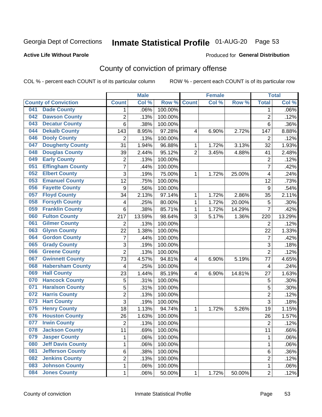## Inmate Statistical Profile 01-AUG-20 Page 53

### **Active Life Without Parole**

### Produced for General Distribution

## County of conviction of primary offense

COL % - percent each COUNT is of its particular column

|     |                             |                         | <b>Male</b> |         |                | <b>Female</b> |        |                | <b>Total</b> |
|-----|-----------------------------|-------------------------|-------------|---------|----------------|---------------|--------|----------------|--------------|
|     | <b>County of Conviction</b> | <b>Count</b>            | Col %       | Row %   | <b>Count</b>   | Col %         | Row %  | <b>Total</b>   | Col %        |
| 041 | <b>Dade County</b>          | 1                       | .06%        | 100.00% |                |               |        | 1              | .06%         |
| 042 | <b>Dawson County</b>        | $\overline{2}$          | .13%        | 100.00% |                |               |        | $\overline{2}$ | .12%         |
| 043 | <b>Decatur County</b>       | 6                       | .38%        | 100.00% |                |               |        | 6              | .36%         |
| 044 | <b>Dekalb County</b>        | 143                     | 8.95%       | 97.28%  | 4              | 6.90%         | 2.72%  | 147            | 8.88%        |
| 046 | <b>Dooly County</b>         | $\overline{2}$          | .13%        | 100.00% |                |               |        | $\overline{2}$ | .12%         |
| 047 | <b>Dougherty County</b>     | 31                      | 1.94%       | 96.88%  | 1              | 1.72%         | 3.13%  | 32             | 1.93%        |
| 048 | <b>Douglas County</b>       | 39                      | 2.44%       | 95.12%  | $\overline{2}$ | 3.45%         | 4.88%  | 41             | 2.48%        |
| 049 | <b>Early County</b>         | $\mathbf 2$             | .13%        | 100.00% |                |               |        | $\overline{2}$ | .12%         |
| 051 | <b>Effingham County</b>     | 7                       | .44%        | 100.00% |                |               |        | $\overline{7}$ | .42%         |
| 052 | <b>Elbert County</b>        | 3                       | .19%        | 75.00%  | 1              | 1.72%         | 25.00% | 4              | .24%         |
| 053 | <b>Emanuel County</b>       | $\overline{12}$         | .75%        | 100.00% |                |               |        | 12             | .73%         |
| 056 | <b>Fayette County</b>       | $\boldsymbol{9}$        | .56%        | 100.00% |                |               |        | 9              | .54%         |
| 057 | <b>Floyd County</b>         | 34                      | 2.13%       | 97.14%  | $\mathbf{1}$   | 1.72%         | 2.86%  | 35             | 2.11%        |
| 058 | <b>Forsyth County</b>       | 4                       | .25%        | 80.00%  | 1              | 1.72%         | 20.00% | 5              | .30%         |
| 059 | <b>Franklin County</b>      | 6                       | .38%        | 85.71%  | 1              | 1.72%         | 14.29% | $\overline{7}$ | .42%         |
| 060 | <b>Fulton County</b>        | 217                     | 13.59%      | 98.64%  | 3              | 5.17%         | 1.36%  | 220            | 13.29%       |
| 061 | <b>Gilmer County</b>        | $\overline{2}$          | .13%        | 100.00% |                |               |        | $\overline{2}$ | .12%         |
| 063 | <b>Glynn County</b>         | 22                      | 1.38%       | 100.00% |                |               |        | 22             | 1.33%        |
| 064 | <b>Gordon County</b>        | 7                       | .44%        | 100.00% |                |               |        | $\overline{7}$ | .42%         |
| 065 | <b>Grady County</b>         | 3                       | .19%        | 100.00% |                |               |        | 3              | .18%         |
| 066 | <b>Greene County</b>        | $\overline{2}$          | .13%        | 100.00% |                |               |        | $\overline{2}$ | .12%         |
| 067 | <b>Gwinnett County</b>      | 73                      | 4.57%       | 94.81%  | 4              | 6.90%         | 5.19%  | 77             | 4.65%        |
| 068 | <b>Habersham County</b>     | $\overline{\mathbf{4}}$ | .25%        | 100.00% |                |               |        | 4              | .24%         |
| 069 | <b>Hall County</b>          | 23                      | 1.44%       | 85.19%  | 4              | 6.90%         | 14.81% | 27             | 1.63%        |
| 070 | <b>Hancock County</b>       | 5                       | .31%        | 100.00% |                |               |        | 5              | .30%         |
| 071 | <b>Haralson County</b>      | 5                       | .31%        | 100.00% |                |               |        | 5              | .30%         |
| 072 | <b>Harris County</b>        | $\overline{2}$          | .13%        | 100.00% |                |               |        | $\overline{2}$ | .12%         |
| 073 | <b>Hart County</b>          | 3                       | .19%        | 100.00% |                |               |        | $\overline{3}$ | .18%         |
| 075 | <b>Henry County</b>         | 18                      | 1.13%       | 94.74%  | $\mathbf{1}$   | 1.72%         | 5.26%  | 19             | 1.15%        |
| 076 | <b>Houston County</b>       | 26                      | 1.63%       | 100.00% |                |               |        | 26             | 1.57%        |
| 077 | <b>Irwin County</b>         | $\overline{2}$          | .13%        | 100.00% |                |               |        | $\overline{2}$ | .12%         |
| 078 | <b>Jackson County</b>       | 11                      | .69%        | 100.00% |                |               |        | 11             | .66%         |
| 079 | <b>Jasper County</b>        | $\mathbf{1}$            | .06%        | 100.00% |                |               |        | $\mathbf{1}$   | .06%         |
| 080 | <b>Jeff Davis County</b>    | 1                       | .06%        | 100.00% |                |               |        | $\mathbf{1}$   | .06%         |
| 081 | <b>Jefferson County</b>     | 6                       | .38%        | 100.00% |                |               |        | 6              | .36%         |
| 082 | <b>Jenkins County</b>       | $\overline{c}$          | .13%        | 100.00% |                |               |        | $\overline{2}$ | .12%         |
| 083 | <b>Johnson County</b>       | $\mathbf 1$             | .06%        | 100.00% |                |               |        | $\mathbf 1$    | .06%         |
| 084 | <b>Jones County</b>         | $\mathbf 1$             | .06%        | 50.00%  | 1              | 1.72%         | 50.00% | $\overline{2}$ | .12%         |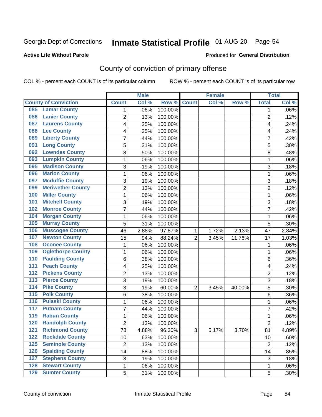## Inmate Statistical Profile 01-AUG-20 Page 54

### **Active Life Without Parole**

### Produced for General Distribution

## County of conviction of primary offense

COL % - percent each COUNT is of its particular column

|                                        |                | <b>Male</b> |         |                | <b>Female</b> |          |                | <b>Total</b> |
|----------------------------------------|----------------|-------------|---------|----------------|---------------|----------|----------------|--------------|
| <b>County of Conviction</b>            | <b>Count</b>   | Col %       | Row %   | <b>Count</b>   | Col %         | Row %    | <b>Total</b>   | Col %        |
| <b>Lamar County</b><br>085             | 1              | .06%        | 100.00% |                |               |          | 1              | $.06\%$      |
| <b>Lanier County</b><br>086            | $\overline{2}$ | .13%        | 100.00% |                |               |          | $\overline{2}$ | .12%         |
| <b>Laurens County</b><br>087           | 4              | .25%        | 100.00% |                |               |          | 4              | .24%         |
| <b>Lee County</b><br>088               | 4              | .25%        | 100.00% |                |               |          | 4              | .24%         |
| <b>Liberty County</b><br>089           | 7              | .44%        | 100.00% |                |               |          | 7              | .42%         |
| <b>Long County</b><br>091              | 5              | .31%        | 100.00% |                |               |          | 5              | .30%         |
| <b>Lowndes County</b><br>092           | 8              | .50%        | 100.00% |                |               |          | 8              | .48%         |
| <b>Lumpkin County</b><br>093           | 1              | .06%        | 100.00% |                |               |          | $\mathbf{1}$   | .06%         |
| <b>Madison County</b><br>095           | 3              | .19%        | 100.00% |                |               |          | 3              | .18%         |
| <b>Marion County</b><br>096            | 1              | .06%        | 100.00% |                |               |          | $\mathbf{1}$   | .06%         |
| <b>Mcduffie County</b><br>097          | 3              | .19%        | 100.00% |                |               |          | 3              | .18%         |
| <b>Meriwether County</b><br>099        | $\overline{2}$ | .13%        | 100.00% |                |               |          | $\overline{2}$ | .12%         |
| <b>Miller County</b><br>100            | 1              | .06%        | 100.00% |                |               |          | $\mathbf{1}$   | .06%         |
| <b>Mitchell County</b><br>101          | 3              | .19%        | 100.00% |                |               |          | 3              | .18%         |
| <b>Monroe County</b><br>102            | 7              | .44%        | 100.00% |                |               |          | $\overline{7}$ | .42%         |
| <b>Morgan County</b><br>104            | 1              | .06%        | 100.00% |                |               |          | $\mathbf{1}$   | .06%         |
| <b>Murray County</b><br>105            | 5              | .31%        | 100.00% |                |               |          | 5              | .30%         |
| <b>Muscogee County</b><br>106          | 46             | 2.88%       | 97.87%  | 1              | 1.72%         | 2.13%    | 47             | 2.84%        |
| <b>Newton County</b><br>107            | 15             | .94%        | 88.24%  | $\overline{2}$ | 3.45%         | 11.76%   | 17             | 1.03%        |
| <b>Oconee County</b><br>108            | 1              | .06%        | 100.00% |                |               |          | 1              | .06%         |
| <b>Oglethorpe County</b><br>109        | 1              | .06%        | 100.00% |                |               |          | 1              | .06%         |
| <b>Paulding County</b><br>110          | 6              | .38%        | 100.00% |                |               |          | 6              | .36%         |
| <b>Peach County</b><br>111             | 4              | .25%        | 100.00% |                |               |          | 4              | .24%         |
| <b>Pickens County</b><br>112           | $\overline{2}$ | .13%        | 100.00% |                |               |          | $\overline{2}$ | .12%         |
| <b>Pierce County</b><br>113            | 3              | .19%        | 100.00% |                |               |          | 3              | .18%         |
| <b>Pike County</b><br>$\overline{114}$ | 3              | .19%        | 60.00%  | $\overline{2}$ | 3.45%         | 40.00%   | 5              | .30%         |
| <b>Polk County</b><br>$\overline{115}$ | 6              | .38%        | 100.00% |                |               |          | 6              | .36%         |
| <b>Pulaski County</b><br>116           | 1              | .06%        | 100.00% |                |               |          | 1              | .06%         |
| <b>Putnam County</b><br>117            | 7              | .44%        | 100.00% |                |               |          | 7              | .42%         |
| <b>Rabun County</b><br>119             | 1              | .06%        | 100.00% |                |               |          | $\mathbf{1}$   | .06%         |
| <b>Randolph County</b><br>120          | $\overline{2}$ | .13%        | 100.00% |                |               |          | $\overline{2}$ | .12%         |
| <b>Richmond County</b><br>121          | 78             | 4.88%       | 96.30%  | 3              | 5.17%         | $3.70\%$ | 81             | 4.89%        |
| <b>Rockdale County</b><br>122          | 10             | .63%        | 100.00% |                |               |          | 10             | .60%         |
| <b>Seminole County</b><br>$125$        | $\overline{2}$ | .13%        | 100.00% |                |               |          | $\overline{2}$ | .12%         |
| <b>Spalding County</b><br>126          | 14             | .88%        | 100.00% |                |               |          | 14             | .85%         |
| <b>Stephens County</b><br>127          | 3              | .19%        | 100.00% |                |               |          | 3              | .18%         |
| <b>Stewart County</b><br>128           | 1              | .06%        | 100.00% |                |               |          | 1              | .06%         |
| <b>Sumter County</b><br>129            | 5              | .31%        | 100.00% |                |               |          | 5              | .30%         |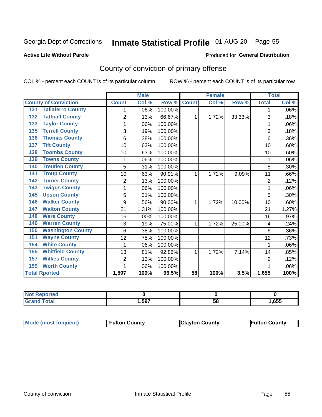## Inmate Statistical Profile 01-AUG-20 Page 55

### **Active Life Without Parole**

### Produced for General Distribution

## County of conviction of primary offense

COL % - percent each COUNT is of its particular column

|                                 |                | <b>Male</b> |         |              | <b>Female</b> |        |                | <b>Total</b> |
|---------------------------------|----------------|-------------|---------|--------------|---------------|--------|----------------|--------------|
| <b>County of Conviction</b>     | <b>Count</b>   | Col %       | Row %   | <b>Count</b> | Col %         | Row %  | <b>Total</b>   | Col %        |
| <b>Taliaferro County</b><br>131 |                | .06%        | 100.00% |              |               |        | 1              | .06%         |
| <b>Tattnall County</b><br>132   | $\overline{2}$ | .13%        | 66.67%  | 1            | 1.72%         | 33.33% | 3              | .18%         |
| <b>Taylor County</b><br>133     | 1              | .06%        | 100.00% |              |               |        | 1              | .06%         |
| <b>Terrell County</b><br>135    | 3              | .19%        | 100.00% |              |               |        | 3              | .18%         |
| <b>Thomas County</b><br>136     | 6              | .38%        | 100.00% |              |               |        | 6              | .36%         |
| <b>Tift County</b><br>137       | 10             | .63%        | 100.00% |              |               |        | 10             | .60%         |
| <b>Toombs County</b><br>138     | 10             | .63%        | 100.00% |              |               |        | 10             | .60%         |
| <b>Towns County</b><br>139      | 1              | .06%        | 100.00% |              |               |        | 1              | .06%         |
| <b>Treutlen County</b><br>140   | 5              | .31%        | 100.00% |              |               |        | 5              | .30%         |
| <b>Troup County</b><br>141      | 10             | .63%        | 90.91%  | 1            | 1.72%         | 9.09%  | 11             | .66%         |
| <b>Turner County</b><br>142     | $\overline{2}$ | .13%        | 100.00% |              |               |        | $\overline{2}$ | .12%         |
| <b>Twiggs County</b><br>143     | 1              | .06%        | 100.00% |              |               |        | 1              | .06%         |
| <b>Upson County</b><br>145      | 5              | .31%        | 100.00% |              |               |        | 5              | .30%         |
| <b>Walker County</b><br>146     | 9              | .56%        | 90.00%  | 1            | 1.72%         | 10.00% | 10             | .60%         |
| <b>Walton County</b><br>147     | 21             | 1.31%       | 100.00% |              |               |        | 21             | 1.27%        |
| <b>Ware County</b><br>148       | 16             | 1.00%       | 100.00% |              |               |        | 16             | .97%         |
| <b>Warren County</b><br>149     | 3              | .19%        | 75.00%  | 1            | 1.72%         | 25.00% | 4              | .24%         |
| <b>Washington County</b><br>150 | 6              | .38%        | 100.00% |              |               |        | 6              | .36%         |
| <b>Wayne County</b><br>151      | 12             | .75%        | 100.00% |              |               |        | 12             | .73%         |
| <b>White County</b><br>154      | 1              | .06%        | 100.00% |              |               |        | 1              | .06%         |
| <b>Whitfield County</b><br>155  | 13             | .81%        | 92.86%  | 1            | 1.72%         | 7.14%  | 14             | .85%         |
| <b>Wilkes County</b><br>157     | $\overline{2}$ | .13%        | 100.00% |              |               |        | $\overline{2}$ | .12%         |
| <b>Worth County</b><br>159      | 1              | .06%        | 100.00% |              |               |        |                | .06%         |
| <b>Total Rported</b>            | 1,597          | 100%        | 96.5%   | 58           | 100%          | 3.5%   | 1,655          | 100%         |

| τeα |       |    |      |
|-----|-------|----|------|
|     | . 597 | 58 | ,655 |

| <b>Mode (most frequent)</b> | <b>Fulton County</b> | <b>Clayton County</b> | <b>Fulton County</b> |
|-----------------------------|----------------------|-----------------------|----------------------|
|-----------------------------|----------------------|-----------------------|----------------------|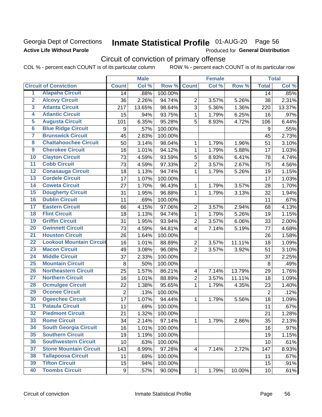## Georgia Dept of Corrections **Active Life Without Parole**

# Inmate Statistical Profile 01-AUG-20 Page 56

Produced for General Distribution

## Circuit of conviction of primary offense

COL % - percent each COUNT is of its particular column ROW % - percent each COUNT is of its particular row

|                         |                                 |                | <b>Male</b> |         |                         | <b>Female</b> |        | <b>Total</b>     |        |
|-------------------------|---------------------------------|----------------|-------------|---------|-------------------------|---------------|--------|------------------|--------|
|                         | <b>Circuit of Conviction</b>    | <b>Count</b>   | Col %       | Row %   | <b>Count</b>            | Col %         | Row %  | <b>Total</b>     | Col %  |
| 1                       | <b>Alapaha Circuit</b>          | 14             | .88%        | 100.00% |                         |               |        | 14               | .85%   |
| $\overline{2}$          | <b>Alcovy Circuit</b>           | 36             | 2.26%       | 94.74%  | $\overline{2}$          | 3.57%         | 5.26%  | 38               | 2.31%  |
| $\overline{\mathbf{3}}$ | <b>Atlanta Circuit</b>          | 217            | 13.65%      | 98.64%  | 3                       | 5.36%         | 1.36%  | 220              | 13.37% |
| 4                       | <b>Atlantic Circuit</b>         | 15             | .94%        | 93.75%  | $\mathbf{1}$            | 1.79%         | 6.25%  | 16               | .97%   |
| $\overline{5}$          | <b>Augusta Circuit</b>          | 101            | 6.35%       | 95.28%  | 5                       | 8.93%         | 4.72%  | 106              | 6.44%  |
| $\overline{6}$          | <b>Blue Ridge Circuit</b>       | 9              | .57%        | 100.00% |                         |               |        | $\boldsymbol{9}$ | .55%   |
| 7                       | <b>Brunswick Circuit</b>        | 45             | 2.83%       | 100.00% |                         |               |        | 45               | 2.73%  |
| 8                       | <b>Chattahoochee Circuit</b>    | 50             | 3.14%       | 98.04%  | 1                       | 1.79%         | 1.96%  | 51               | 3.10%  |
| $\overline{9}$          | <b>Cherokee Circuit</b>         | 16             | 1.01%       | 94.12%  | 1                       | 1.79%         | 5.88%  | 17               | 1.03%  |
| 10                      | <b>Clayton Circuit</b>          | 73             | 4.59%       | 93.59%  | 5                       | 8.93%         | 6.41%  | 78               | 4.74%  |
| $\overline{11}$         | <b>Cobb Circuit</b>             | 73             | 4.59%       | 97.33%  | $\overline{2}$          | 3.57%         | 2.67%  | 75               | 4.56%  |
| $\overline{12}$         | <b>Conasauga Circuit</b>        | 18             | 1.13%       | 94.74%  | $\mathbf{1}$            | 1.79%         | 5.26%  | 19               | 1.15%  |
| $\overline{13}$         | <b>Cordele Circuit</b>          | 17             | 1.07%       | 100.00% |                         |               |        | 17               | 1.03%  |
| $\overline{14}$         | <b>Coweta Circuit</b>           | 27             | 1.70%       | 96.43%  | $\mathbf{1}$            | 1.79%         | 3.57%  | 28               | 1.70%  |
| $\overline{15}$         | <b>Dougherty Circuit</b>        | 31             | 1.95%       | 96.88%  | $\mathbf{1}$            | 1.79%         | 3.13%  | 32               | 1.94%  |
| 16                      | <b>Dublin Circuit</b>           | 11             | .69%        | 100.00% |                         |               |        | 11               | .67%   |
| $\overline{17}$         | <b>Eastern Circuit</b>          | 66             | 4.15%       | 97.06%  | $\overline{2}$          | 3.57%         | 2.94%  | 68               | 4.13%  |
| $\overline{18}$         | <b>Flint Circuit</b>            | 18             | 1.13%       | 94.74%  | $\mathbf{1}$            | 1.79%         | 5.26%  | 19               | 1.15%  |
| 19                      | <b>Griffin Circuit</b>          | 31             | 1.95%       | 93.94%  | $\overline{2}$          | 3.57%         | 6.06%  | 33               | 2.00%  |
| 20                      | <b>Gwinnett Circuit</b>         | 73             | 4.59%       | 94.81%  | $\overline{4}$          | 7.14%         | 5.19%  | 77               | 4.68%  |
| $\overline{21}$         | <b>Houston Circuit</b>          | 26             | 1.64%       | 100.00% |                         |               |        | 26               | 1.58%  |
| $\overline{22}$         | <b>Lookout Mountain Circuit</b> | 16             | 1.01%       | 88.89%  | $\overline{2}$          | 3.57%         | 11.11% | 18               | 1.09%  |
| 23                      | <b>Macon Circuit</b>            | 49             | 3.08%       | 96.08%  | $\overline{2}$          | 3.57%         | 3.92%  | 51               | 3.10%  |
| 24                      | <b>Middle Circuit</b>           | 37             | 2.33%       | 100.00% |                         |               |        | 37               | 2.25%  |
| $\overline{25}$         | <b>Mountain Circuit</b>         | 8              | .50%        | 100.00% |                         |               |        | 8                | .49%   |
| 26                      | <b>Northeastern Circuit</b>     | 25             | 1.57%       | 86.21%  | $\overline{\mathbf{4}}$ | 7.14%         | 13.79% | 29               | 1.76%  |
| $\overline{27}$         | <b>Northern Circuit</b>         | 16             | 1.01%       | 88.89%  | $\overline{2}$          | 3.57%         | 11.11% | 18               | 1.09%  |
| 28                      | <b>Ocmulgee Circuit</b>         | 22             | 1.38%       | 95.65%  | $\mathbf{1}$            | 1.79%         | 4.35%  | 23               | 1.40%  |
| 29                      | <b>Oconee Circuit</b>           | $\overline{2}$ | .13%        | 100.00% |                         |               |        | $\overline{2}$   | .12%   |
| 30                      | <b>Ogeechee Circuit</b>         | 17             | 1.07%       | 94.44%  | $\mathbf 1$             | 1.79%         | 5.56%  | 18               | 1.09%  |
| $\overline{31}$         | <b>Pataula Circuit</b>          | 11             | .69%        | 100.00% |                         |               |        | 11               | .67%   |
| 32                      | <b>Piedmont Circuit</b>         | 21             | 1.32%       | 100.00% |                         |               |        | 21               | 1.28%  |
| 33                      | <b>Rome Circuit</b>             | 34             | 2.14%       | 97.14%  | $\mathbf 1$             | 1.79%         | 2.86%  | 35               | 2.13%  |
| 34                      | <b>South Georgia Circuit</b>    | 16             | 1.01%       | 100.00% |                         |               |        | 16               | .97%   |
| 35                      | <b>Southern Circuit</b>         | 19             | 1.19%       | 100.00% |                         |               |        | 19               | 1.15%  |
| 36                      | <b>Southwestern Circuit</b>     | 10             | .63%        | 100.00% |                         |               |        | 10               | .61%   |
| 37                      | <b>Stone Mountain Circuit</b>   | 143            | 8.99%       | 97.28%  | 4                       | 7.14%         | 2.72%  | 147              | 8.93%  |
| 38                      | <b>Tallapoosa Circuit</b>       | 11             | .69%        | 100.00% |                         |               |        | 11               | .67%   |
| 39                      | <b>Tifton Circuit</b>           | 15             | .94%        | 100.00% |                         |               |        | 15               | .91%   |
| 40                      | <b>Toombs Circuit</b>           | 9              | .57%        | 90.00%  | $\mathbf{1}$            | 1.79%         | 10.00% | 10 <sub>1</sub>  | .61%   |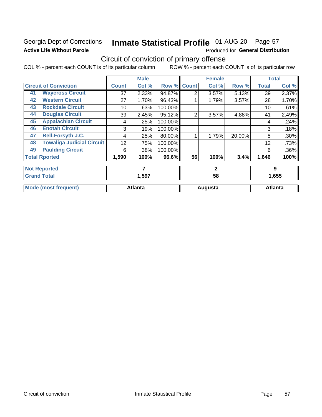## Georgia Dept of Corrections **Active Life Without Parole**

# Inmate Statistical Profile 01-AUG-20 Page 57

Produced for General Distribution

## Circuit of conviction of primary offense

COL % - percent each COUNT is of its particular column ROW % - percent each COUNT is of its particular row

|    |                                  |              | <b>Male</b>    |         |                | <b>Female</b> |        |              | <b>Total</b>   |
|----|----------------------------------|--------------|----------------|---------|----------------|---------------|--------|--------------|----------------|
|    | <b>Circuit of Conviction</b>     | <b>Count</b> | Col %          | Row %   | <b>Count</b>   | Col %         | Row %  | <b>Total</b> | Col %          |
| 41 | <b>Waycross Circuit</b>          | 37           | 2.33%          | 94.87%  | 2              | 3.57%         | 5.13%  | 39           | 2.37%          |
| 42 | <b>Western Circuit</b>           | 27           | 1.70%          | 96.43%  |                | 1.79%         | 3.57%  | 28           | 1.70%          |
| 43 | <b>Rockdale Circuit</b>          | 10           | .63%           | 100.00% |                |               |        | 10           | .61%           |
| 44 | <b>Douglas Circuit</b>           | 39           | 2.45%          | 95.12%  | $\overline{2}$ | 3.57%         | 4.88%  | 41           | 2.49%          |
| 45 | <b>Appalachian Circuit</b>       | 4            | .25%           | 100.00% |                |               |        | 4            | .24%           |
| 46 | <b>Enotah Circuit</b>            | 3            | .19%           | 100.00% |                |               |        | 3            | .18%           |
| 47 | <b>Bell-Forsyth J.C.</b>         | 4            | .25%           | 80.00%  |                | 1.79%         | 20.00% | 5            | .30%           |
| 48 | <b>Towaliga Judicial Circuit</b> | 12           | .75%           | 100.00% |                |               |        | 12           | .73%           |
| 49 | <b>Paulding Circuit</b>          | 6            | .38%           | 100.00% |                |               |        | 6            | .36%           |
|    | <b>Total Rported</b>             | 1,590        | 100%           | 96.6%   | 56             | 100%          | 3.4%   | 1,646        | 100%           |
|    | <b>Not Reported</b>              |              | 7              |         |                | $\mathbf{2}$  |        |              | 9              |
|    | <b>Grand Total</b>               |              | 1,597          |         |                | 58            |        |              | 1,655          |
|    | <b>Mode (most frequent)</b>      |              | <b>Atlanta</b> |         |                | Augusta       |        |              | <b>Atlanta</b> |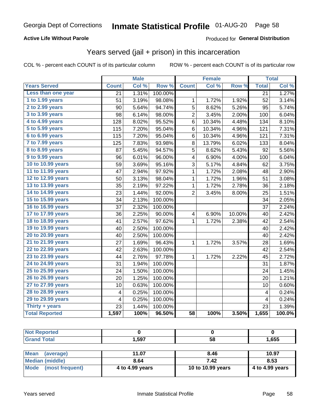### **Active Life Without Parole**

### Produced for General Distribution

## Years served (jail + prison) in this incarceration

COL % - percent each COUNT is of its particular column

ROW % - percent each COUNT is of its particular row

|                        |              | <b>Male</b> |                  |                         | <b>Female</b> |        |                         | <b>Total</b> |
|------------------------|--------------|-------------|------------------|-------------------------|---------------|--------|-------------------------|--------------|
| <b>Years Served</b>    | <b>Count</b> | Col %       | Row <sup>%</sup> | <b>Count</b>            | Col %         | Row %  | <b>Total</b>            | Col %        |
| Less than one year     | 21           | 1.31%       | 100.00%          |                         |               |        | $\overline{21}$         | 1.27%        |
| 1 to 1.99 years        | 51           | 3.19%       | 98.08%           | 1                       | 1.72%         | 1.92%  | 52                      | 3.14%        |
| 2 to 2.99 years        | 90           | 5.64%       | 94.74%           | 5                       | 8.62%         | 5.26%  | 95                      | 5.74%        |
| 3 to 3.99 years        | 98           | 6.14%       | 98.00%           | $\overline{c}$          | 3.45%         | 2.00%  | 100                     | 6.04%        |
| 4 to 4.99 years        | 128          | 8.02%       | 95.52%           | 6                       | 10.34%        | 4.48%  | 134                     | 8.10%        |
| 5 to 5.99 years        | 115          | 7.20%       | 95.04%           | 6                       | 10.34%        | 4.96%  | 121                     | 7.31%        |
| 6 to 6.99 years        | 115          | 7.20%       | 95.04%           | 6                       | 10.34%        | 4.96%  | 121                     | 7.31%        |
| 7 to 7.99 years        | 125          | 7.83%       | 93.98%           | 8                       | 13.79%        | 6.02%  | 133                     | 8.04%        |
| <b>8 to 8.99 years</b> | 87           | 5.45%       | 94.57%           | 5                       | 8.62%         | 5.43%  | 92                      | 5.56%        |
| 9 to 9.99 years        | 96           | 6.01%       | 96.00%           | 4                       | 6.90%         | 4.00%  | 100                     | 6.04%        |
| 10 to 10.99 years      | 59           | 3.69%       | 95.16%           | 3                       | 5.17%         | 4.84%  | 62                      | 3.75%        |
| 11 to 11.99 years      | 47           | 2.94%       | 97.92%           | 1                       | 1.72%         | 2.08%  | 48                      | 2.90%        |
| 12 to 12.99 years      | 50           | 3.13%       | 98.04%           | 1                       | 1.72%         | 1.96%  | 51                      | 3.08%        |
| 13 to 13.99 years      | 35           | 2.19%       | 97.22%           | $\mathbf 1$             | 1.72%         | 2.78%  | 36                      | 2.18%        |
| 14 to 14.99 years      | 23           | 1.44%       | 92.00%           | $\overline{2}$          | 3.45%         | 8.00%  | 25                      | 1.51%        |
| 15 to 15.99 years      | 34           | 2.13%       | 100.00%          |                         |               |        | 34                      | 2.05%        |
| 16 to 16.99 years      | 37           | 2.32%       | 100.00%          |                         |               |        | 37                      | 2.24%        |
| 17 to 17.99 years      | 36           | 2.25%       | 90.00%           | $\overline{\mathbf{4}}$ | 6.90%         | 10.00% | 40                      | 2.42%        |
| 18 to 18.99 years      | 41           | 2.57%       | 97.62%           | 1                       | 1.72%         | 2.38%  | 42                      | 2.54%        |
| 19 to 19.99 years      | 40           | 2.50%       | 100.00%          |                         |               |        | 40                      | 2.42%        |
| 20 to 20.99 years      | 40           | 2.50%       | 100.00%          |                         |               |        | 40                      | 2.42%        |
| 21 to 21.99 years      | 27           | 1.69%       | 96.43%           | 1                       | 1.72%         | 3.57%  | 28                      | 1.69%        |
| 22 to 22.99 years      | 42           | 2.63%       | 100.00%          |                         |               |        | 42                      | 2.54%        |
| 23 to 23.99 years      | 44           | 2.76%       | 97.78%           | 1                       | 1.72%         | 2.22%  | 45                      | 2.72%        |
| 24 to 24.99 years      | 31           | 1.94%       | 100.00%          |                         |               |        | 31                      | 1.87%        |
| 25 to 25.99 years      | 24           | 1.50%       | 100.00%          |                         |               |        | 24                      | 1.45%        |
| 26 to 26.99 years      | 20           | 1.25%       | 100.00%          |                         |               |        | 20                      | 1.21%        |
| 27 to 27.99 years      | 10           | 0.63%       | 100.00%          |                         |               |        | 10                      | 0.60%        |
| 28 to 28.99 years      | 4            | 0.25%       | 100.00%          |                         |               |        | 4                       | 0.24%        |
| 29 to 29.99 years      | 4            | 0.25%       | 100.00%          |                         |               |        | $\overline{\mathbf{4}}$ | 0.24%        |
| Thirty + years         | 23           | 1.44%       | 100.00%          |                         |               |        | 23                      | 1.39%        |
| <b>Total Reported</b>  | 1,597        | 100%        | 96.50%           | $\overline{58}$         | 100%          | 3.50%  | 1,655                   | 100.0%       |

| <b>Not Reported</b>      |       |      |       |
|--------------------------|-------|------|-------|
| <b>Grand Total</b>       | 1.597 | 58   | 1,655 |
|                          |       |      |       |
| <b>Mean</b><br>(average) | 11.07 | 8.46 | 10.97 |
| <b>Median (middle)</b>   | 8.64  | 7.42 | 8.53  |

4 to 4.99 years

(most frequent)

**Mode** 

10 to 10.99 years

4 to 4.99 years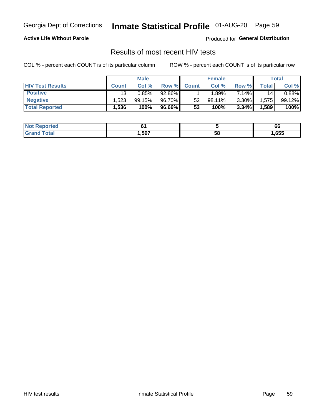## Inmate Statistical Profile 01-AUG-20 Page 59

### **Active Life Without Parole**

Produced for General Distribution

## Results of most recent HIV tests

COL % - percent each COUNT is of its particular column

|                         | <b>Male</b>     |        |        | <b>Female</b> |        |          | Total       |        |
|-------------------------|-----------------|--------|--------|---------------|--------|----------|-------------|--------|
| <b>HIV Test Results</b> | <b>Count</b>    | Col %  | Row %I | <b>Count</b>  | Col %  | Row %    | $\tau$ otal | Col %  |
| <b>Positive</b>         | 13 <sub>1</sub> | 0.85%  | 92.86% |               | ا 89%. | 7.14%    | 14          | 0.88%  |
| <b>Negative</b>         | .523            | 99.15% | 96.70% | 52            | 98.11% | $3.30\%$ | .575        | 99.12% |
| <b>Total Reported</b>   | .536            | 100%   | 96.66% | 53            | 100%   | 3.34%    | 1,589       | 100%   |

| Reported<br>I NOT     |      |    | pp   |
|-----------------------|------|----|------|
| <b>ota</b><br>$G$ ren | .597 | 58 | ,655 |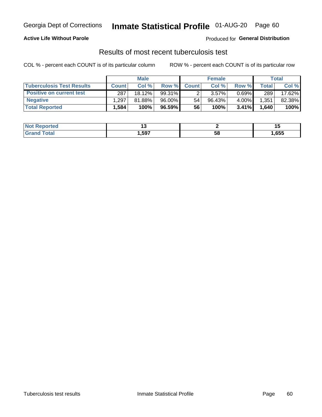## Georgia Dept of Corrections **Inmate Statistical Profile** 01-AUG-20 Page 60

### **Active Life Without Parole**

Produced for **General Distribution**

## Results of most recent tuberculosis test

COL % - percent each COUNT is of its particular column ROW % - percent each COUNT is of its particular row

|                                  | <b>Male</b>  |        |          | <b>Female</b> |           |          | Total |        |
|----------------------------------|--------------|--------|----------|---------------|-----------|----------|-------|--------|
| <b>Tuberculosis Test Results</b> | <b>Count</b> | Col%   | Row %I   | <b>Count</b>  | Col %     | Row %    | Total | Col %  |
| <b>Positive on current test</b>  | 287          | 18.12% | 99.31%   |               | 3.57%     | $0.69\%$ | 289   | 17.62% |
| <b>Negative</b>                  | .297         | 81.88% | 96.00%   | 54            | $96.43\%$ | 4.00%    | .351  | 82.38% |
| <b>Total Reported</b>            | .584         | 100%   | 96.59% l | 56            | 100%      | $3.41\%$ | 1,640 | 100%   |

| <b>Not Reported</b> |       |    | . . V |
|---------------------|-------|----|-------|
| <b>Total</b><br>.C. | 597،، | эŏ | l,655 |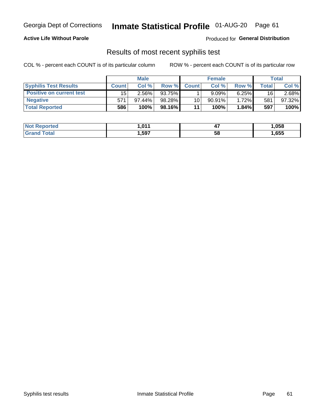## Georgia Dept of Corrections **Inmate Statistical Profile** 01-AUG-20 Page 61

### **Active Life Without Parole**

Produced for **General Distribution**

## Results of most recent syphilis test

COL % - percent each COUNT is of its particular column ROW % - percent each COUNT is of its particular row

|                                 | <b>Male</b>  |           |          | <b>Female</b> |           |          | Total   |        |
|---------------------------------|--------------|-----------|----------|---------------|-----------|----------|---------|--------|
| <b>Syphilis Test Results</b>    | <b>Count</b> | Col%      | Row %    | <b>Count</b>  | Col %     | Row %I   | Total i | Col %  |
| <b>Positive on current test</b> | 15           | $2.56\%$  | 93.75%   |               | 9.09%     | 6.25%    | 16      | 2.68%  |
| <b>Negative</b>                 | 571          | $97.44\%$ | 98.28%   | 10            | $90.91\%$ | $1.72\%$ | 581     | 97.32% |
| <b>Total Reported</b>           | 586          | 100%      | 98.16% I | 11            | 100%      | 1.84%    | 597     | 100%   |

| <b>Not Reported</b> | 1.011 | <br>- 1 | 1,058 |
|---------------------|-------|---------|-------|
| <b>Total</b>        | ,597  | 58      | ,655  |